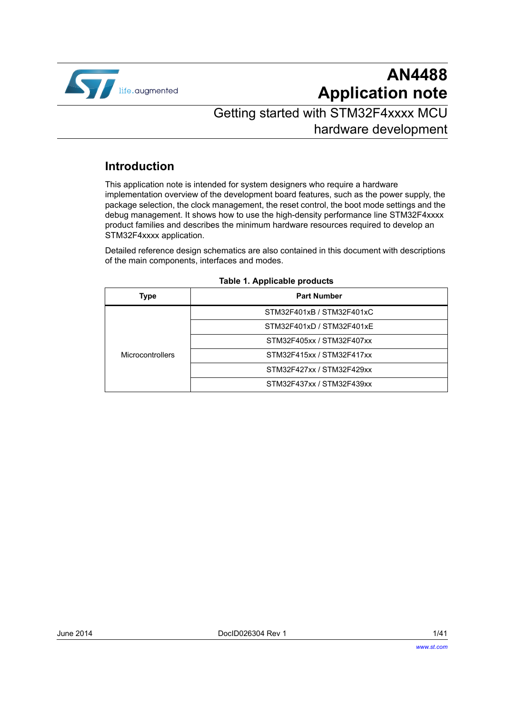

# **AN4488 Application note**

# Getting started with STM32F4xxxx MCU hardware development

# **Introduction**

This application note is intended for system designers who require a hardware implementation overview of the development board features, such as the power supply, the package selection, the clock management, the reset control, the boot mode settings and the debug management. It shows how to use the high-density performance line STM32F4xxxx product families and describes the minimum hardware resources required to develop an STM32F4xxxx application.

Detailed reference design schematics are also contained in this document with descriptions of the main components, interfaces and modes.

<span id="page-0-0"></span>

| Type                    | <b>Part Number</b>        |  |  |  |  |  |  |  |
|-------------------------|---------------------------|--|--|--|--|--|--|--|
|                         | STM32F401xB / STM32F401xC |  |  |  |  |  |  |  |
|                         | STM32F401xD / STM32F401xE |  |  |  |  |  |  |  |
| <b>Microcontrollers</b> | STM32F405xx / STM32F407xx |  |  |  |  |  |  |  |
|                         | STM32F415xx / STM32F417xx |  |  |  |  |  |  |  |
|                         | STM32F427xx / STM32F429xx |  |  |  |  |  |  |  |
|                         | STM32F437xx / STM32F439xx |  |  |  |  |  |  |  |

#### <span id="page-0-1"></span>**Table 1. Applicable products**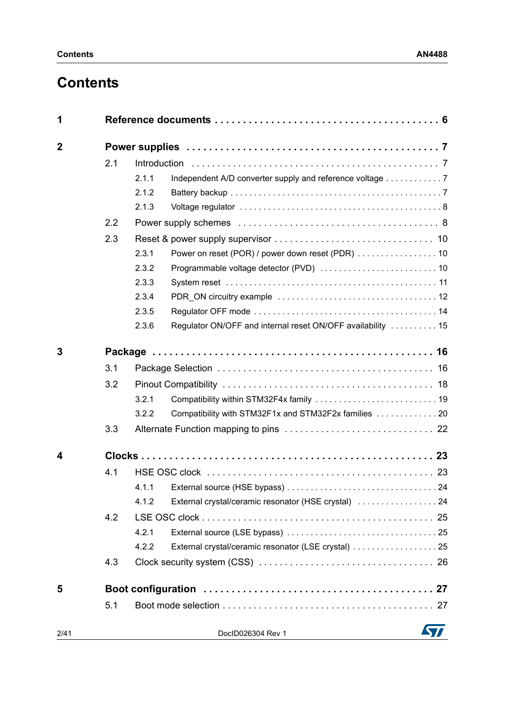# **Contents**

| 1           |     |       |                                                             |  |  |  |  |  |  |
|-------------|-----|-------|-------------------------------------------------------------|--|--|--|--|--|--|
| $\mathbf 2$ |     |       |                                                             |  |  |  |  |  |  |
|             | 2.1 |       |                                                             |  |  |  |  |  |  |
|             |     | 2.1.1 |                                                             |  |  |  |  |  |  |
|             |     | 2.1.2 |                                                             |  |  |  |  |  |  |
|             |     | 2.1.3 |                                                             |  |  |  |  |  |  |
|             | 2.2 |       |                                                             |  |  |  |  |  |  |
|             | 2.3 |       |                                                             |  |  |  |  |  |  |
|             |     | 2.3.1 | Power on reset (POR) / power down reset (PDR)  10           |  |  |  |  |  |  |
|             |     | 2.3.2 |                                                             |  |  |  |  |  |  |
|             |     | 2.3.3 |                                                             |  |  |  |  |  |  |
|             |     | 2.3.4 |                                                             |  |  |  |  |  |  |
|             |     | 2.3.5 |                                                             |  |  |  |  |  |  |
|             |     | 2.3.6 | Regulator ON/OFF and internal reset ON/OFF availability  15 |  |  |  |  |  |  |
| 3           |     |       |                                                             |  |  |  |  |  |  |
|             | 3.1 |       |                                                             |  |  |  |  |  |  |
|             | 3.2 |       |                                                             |  |  |  |  |  |  |
|             |     | 3.2.1 |                                                             |  |  |  |  |  |  |
|             |     | 3.2.2 | Compatibility with STM32F1x and STM32F2x families  20       |  |  |  |  |  |  |
|             | 3.3 |       |                                                             |  |  |  |  |  |  |
| 4           |     |       |                                                             |  |  |  |  |  |  |
|             | 4.1 |       |                                                             |  |  |  |  |  |  |
|             |     | 4.1.1 |                                                             |  |  |  |  |  |  |
|             |     | 4.1.2 | External crystal/ceramic resonator (HSE crystal)  24        |  |  |  |  |  |  |
|             | 4.2 |       |                                                             |  |  |  |  |  |  |
|             |     | 4.2.1 |                                                             |  |  |  |  |  |  |
|             |     | 4.2.2 | External crystal/ceramic resonator (LSE crystal) 25         |  |  |  |  |  |  |
|             | 4.3 |       |                                                             |  |  |  |  |  |  |
| 5           |     |       |                                                             |  |  |  |  |  |  |
|             | 5.1 |       |                                                             |  |  |  |  |  |  |
| 2/41        |     |       | DocID026304 Rev 1                                           |  |  |  |  |  |  |
|             |     |       |                                                             |  |  |  |  |  |  |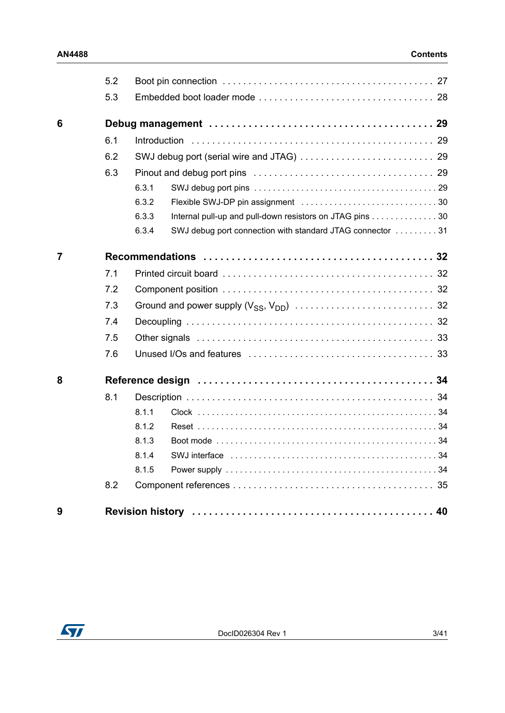|                | 5.2 |                                                                    |
|----------------|-----|--------------------------------------------------------------------|
|                | 5.3 |                                                                    |
| 6              |     |                                                                    |
|                | 6.1 |                                                                    |
|                | 6.2 |                                                                    |
|                | 6.3 |                                                                    |
|                |     | 6.3.1                                                              |
|                |     | 6.3.2                                                              |
|                |     | Internal pull-up and pull-down resistors on JTAG pins 30<br>6.3.3  |
|                |     | 6.3.4<br>SWJ debug port connection with standard JTAG connector 31 |
| $\overline{7}$ |     |                                                                    |
|                | 7.1 |                                                                    |
|                | 7.2 |                                                                    |
|                | 7.3 |                                                                    |
|                | 7.4 |                                                                    |
|                | 7.5 |                                                                    |
|                | 7.6 |                                                                    |
| 8              |     |                                                                    |
|                | 8.1 |                                                                    |
|                |     | 8.1.1                                                              |
|                |     | 8.1.2                                                              |
|                |     | 8.1.3                                                              |
|                |     | 8.1.4                                                              |
|                |     | 8.1.5                                                              |
|                | 8.2 |                                                                    |
| 9              |     |                                                                    |

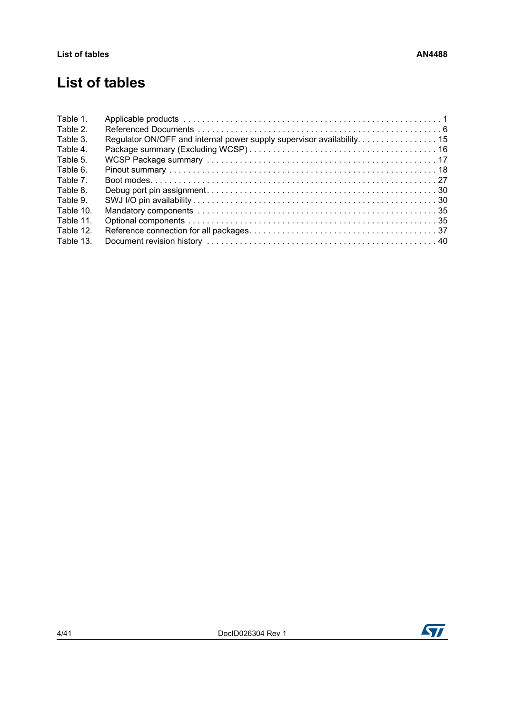# **List of tables**

| Table 1.  |                                                                        |  |
|-----------|------------------------------------------------------------------------|--|
| Table 2.  |                                                                        |  |
| Table 3.  | Regulator ON/OFF and internal power supply supervisor availability. 15 |  |
| Table 4.  |                                                                        |  |
| Table 5.  |                                                                        |  |
| Table 6.  |                                                                        |  |
| Table 7.  |                                                                        |  |
| Table 8.  |                                                                        |  |
| Table 9.  |                                                                        |  |
| Table 10. |                                                                        |  |
| Table 11. |                                                                        |  |
| Table 12. |                                                                        |  |
| Table 13. |                                                                        |  |

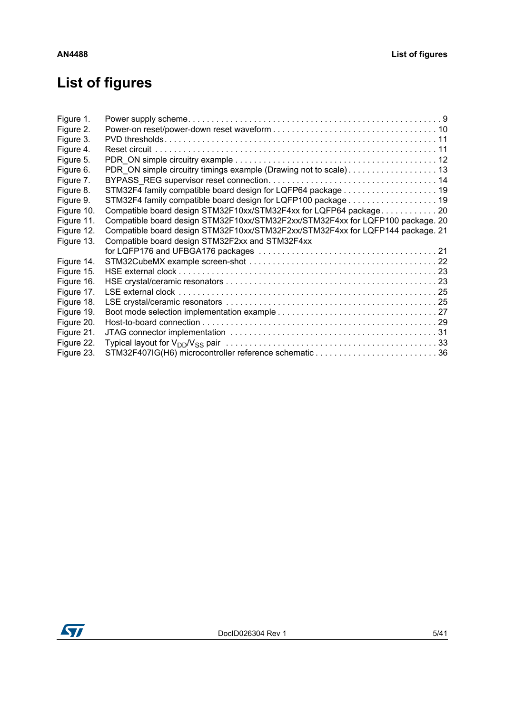# **List of figures**

| Figure 1.  |                                                                                |  |
|------------|--------------------------------------------------------------------------------|--|
| Figure 2.  |                                                                                |  |
| Figure 3.  |                                                                                |  |
| Figure 4.  |                                                                                |  |
| Figure 5.  |                                                                                |  |
| Figure 6.  | PDR_ON simple circuitry timings example (Drawing not to scale) 13              |  |
| Figure 7.  |                                                                                |  |
| Figure 8.  | STM32F4 family compatible board design for LQFP64 package 19                   |  |
| Figure 9.  | STM32F4 family compatible board design for LQFP100 package 19                  |  |
| Figure 10. | Compatible board design STM32F10xx/STM32F4xx for LQFP64 package20              |  |
| Figure 11. | Compatible board design STM32F10xx/STM32F2xx/STM32F4xx for LQFP100 package. 20 |  |
| Figure 12. | Compatible board design STM32F10xx/STM32F2xx/STM32F4xx for LQFP144 package. 21 |  |
| Figure 13. | Compatible board design STM32F2xx and STM32F4xx                                |  |
|            |                                                                                |  |
| Figure 14. |                                                                                |  |
| Figure 15. |                                                                                |  |
| Figure 16. |                                                                                |  |
| Figure 17. |                                                                                |  |
| Figure 18. |                                                                                |  |
| Figure 19. |                                                                                |  |
| Figure 20. |                                                                                |  |
| Figure 21. |                                                                                |  |
| Figure 22. |                                                                                |  |
| Figure 23. |                                                                                |  |

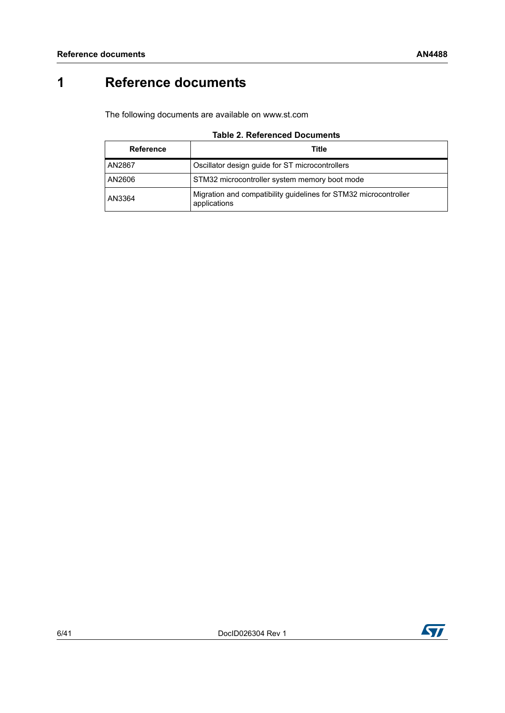# <span id="page-5-0"></span>**1 Reference documents**

The following documents are available on www.st.com

|  | <b>Table 2. Referenced Documents</b> |  |
|--|--------------------------------------|--|
|--|--------------------------------------|--|

<span id="page-5-1"></span>

| <b>Reference</b> | Title                                                                            |
|------------------|----------------------------------------------------------------------------------|
| l AN2867         | Oscillator design guide for ST microcontrollers                                  |
| AN2606           | STM32 microcontroller system memory boot mode                                    |
| AN3364           | Migration and compatibility guidelines for STM32 microcontroller<br>applications |

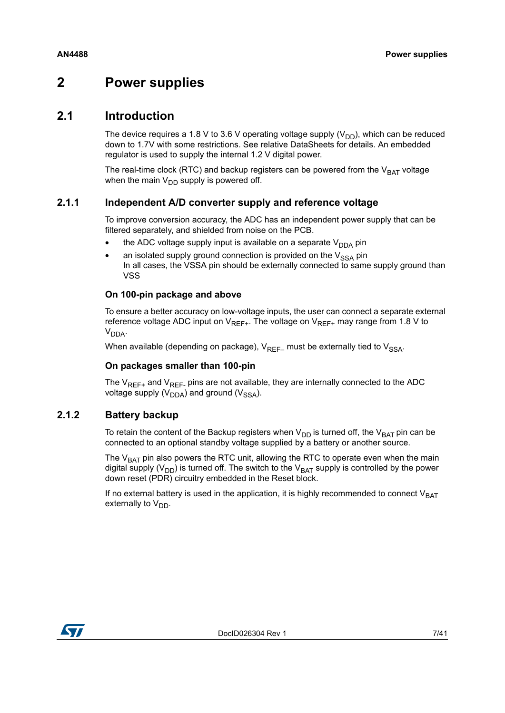# <span id="page-6-0"></span>**2 Power supplies**

## <span id="page-6-1"></span>**2.1 Introduction**

The device requires a 1.8 V to 3.6 V operating voltage supply ( $V_{DD}$ ), which can be reduced down to 1.7V with some restrictions. See relative DataSheets for details. An embedded regulator is used to supply the internal 1.2 V digital power.

The real-time clock (RTC) and backup registers can be powered from the  $V_{BAT}$  voltage when the main  $V_{DD}$  supply is powered off.

#### <span id="page-6-2"></span>**2.1.1 Independent A/D converter supply and reference voltage**

To improve conversion accuracy, the ADC has an independent power supply that can be filtered separately, and shielded from noise on the PCB.

- the ADC voltage supply input is available on a separate  $V_{DDA}$  pin
- an isolated supply ground connection is provided on the  $V_{SSA}$  pin In all cases, the VSSA pin should be externally connected to same supply ground than VSS

#### **On 100-pin package and above**

To ensure a better accuracy on low-voltage inputs, the user can connect a separate external reference voltage ADC input on  $V_{REF+}$ . The voltage on  $V_{REF+}$  may range from 1.8 V to  $V<sub>DDA</sub>$ .

When available (depending on package),  $V_{RFF-}$  must be externally tied to  $V_{SSA}$ .

#### **On packages smaller than 100-pin**

The  $V_{REF+}$  and  $V_{REF-}$  pins are not available, they are internally connected to the ADC voltage supply ( $V_{DDA}$ ) and ground ( $V_{SSA}$ ).

#### <span id="page-6-3"></span>**2.1.2 Battery backup**

To retain the content of the Backup registers when  $V_{DD}$  is turned off, the  $V_{BAT}$  pin can be connected to an optional standby voltage supplied by a battery or another source.

The  $V<sub>BAT</sub>$  pin also powers the RTC unit, allowing the RTC to operate even when the main digital supply ( $V_{DD}$ ) is turned off. The switch to the  $V_{BAT}$  supply is controlled by the power down reset (PDR) circuitry embedded in the Reset block.

If no external battery is used in the application, it is highly recommended to connect  $V_{BAT}$ externally to  $V_{DD}$ .

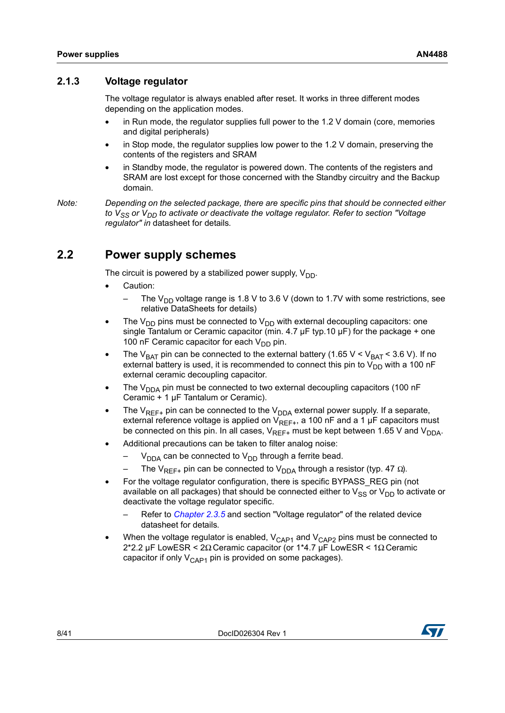#### <span id="page-7-0"></span>**2.1.3 Voltage regulator**

The voltage regulator is always enabled after reset. It works in three different modes depending on the application modes.

- in Run mode, the regulator supplies full power to the 1.2 V domain (core, memories and digital peripherals)
- in Stop mode, the regulator supplies low power to the  $1.2$  V domain, preserving the contents of the registers and SRAM
- in Standby mode, the regulator is powered down. The contents of the registers and SRAM are lost except for those concerned with the Standby circuitry and the Backup domain.

*Note: Depending on the selected package, there are specific pins that should be connected either*  to V<sub>SS</sub> or V<sub>DD</sub> to activate or deactivate the voltage regulator. Refer to section "Voltage *regulator" in* datasheet for details*.*

# <span id="page-7-1"></span>**2.2 Power supply schemes**

The circuit is powered by a stabilized power supply,  $V_{DD}$ .

- Caution:
	- The V<sub>DD</sub> voltage range is 1.8 V to 3.6 V (down to 1.7V with some restrictions, see relative DataSheets for details)
- The  $V_{DD}$  pins must be connected to  $V_{DD}$  with external decoupling capacitors: one single Tantalum or Ceramic capacitor (min. 4.7  $\mu$ F typ.10  $\mu$ F) for the package + one 100 nF Ceramic capacitor for each  $V_{DD}$  pin.
- The V<sub>BAT</sub> pin can be connected to the external battery (1.65 V < V<sub>BAT</sub> < 3.6 V). If no external battery is used, it is recommended to connect this pin to  $V_{DD}$  with a 100 nF external ceramic decoupling capacitor.
- The  $V_{DDA}$  pin must be connected to two external decoupling capacitors (100 nF Ceramic + 1 µF Tantalum or Ceramic).
- The  $V_{RFF+}$  pin can be connected to the  $V_{DDA}$  external power supply. If a separate, external reference voltage is applied on  $V_{REF+}$ , a 100 nF and a 1 µF capacitors must be connected on this pin. In all cases,  $V_{REF+}$  must be kept between 1.65 V and  $V_{DDA}$ .
- Additional precautions can be taken to filter analog noise:
	- $V_{DDA}$  can be connected to  $V_{DD}$  through a ferrite bead.
	- The V<sub>RFF+</sub> pin can be connected to V<sub>DDA</sub> through a resistor (typ. 47 Ω).
- For the voltage regulator configuration, there is specific BYPASS\_REG pin (not available on all packages) that should be connected either to  $V_{SS}$  or  $V_{DD}$  to activate or deactivate the voltage regulator specific.
	- Refer to *[Chapter 2.3.5](#page-13-0)* and section "Voltage regulator" of the related device datasheet for details*.*
- When the voltage regulator is enabled,  $V_{\text{CAP1}}$  and  $V_{\text{CAP2}}$  pins must be connected to 2\*2.2 µF LowESR < 2Ω Ceramic capacitor (or 1\*4.7 µF LowESR < 1Ω Ceramic capacitor if only  $V_{\text{CAP1}}$  pin is provided on some packages).

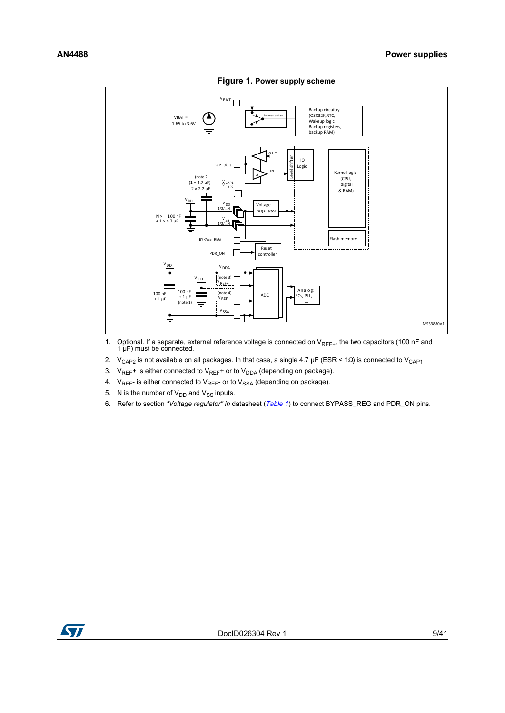<span id="page-8-0"></span>

**Figure 1. Power supply scheme**

- 1. Optional. If a separate, external reference voltage is connected on  $V_{REF+}$ , the two capacitors (100 nF and 1 µF) must be connected.
- 2. V<sub>CAP2</sub> is not available on all packages. In that case, a single 4.7 µF (ESR < 1Ω) is connected to V<sub>CAP1</sub>
- 3.  $V_{REF}$ + is either connected to  $V_{REF}$ + or to  $V_{DDA}$  (depending on package).
- 4.  $V_{REF}$  is either connected to  $V_{REF}$  or to  $V_{SSA}$  (depending on package).
- 5. N is the number of  $V_{DD}$  and  $V_{SS}$  inputs.
- 6. Refer to section *"Voltage regulator" in* datasheet (*[Table 1](#page-0-1)*) to connect BYPASS\_REG and PDR\_ON pins.

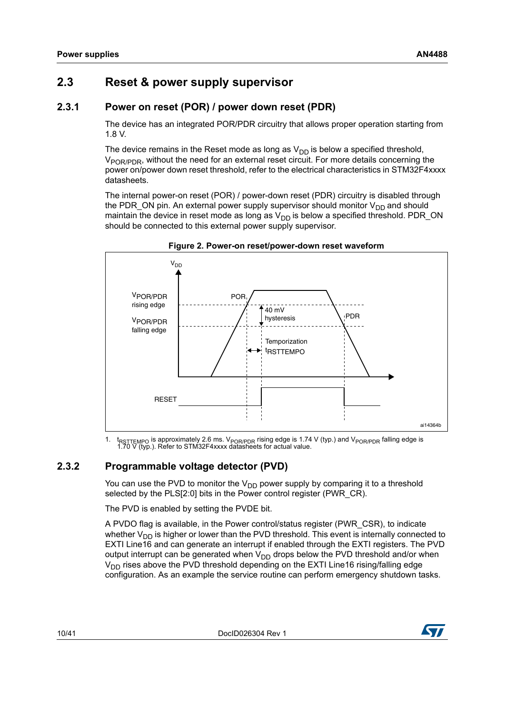# <span id="page-9-0"></span>**2.3 Reset & power supply supervisor**

## <span id="page-9-1"></span>**2.3.1 Power on reset (POR) / power down reset (PDR)**

The device has an integrated POR/PDR circuitry that allows proper operation starting from 1.8 V.

The device remains in the Reset mode as long as  $V_{DD}$  is below a specified threshold, V<sub>POR/PDR</sub>, without the need for an external reset circuit. For more details concerning the power on/power down reset threshold, refer to the electrical characteristics in STM32F4xxxx datasheets.

The internal power-on reset (POR) / power-down reset (PDR) circuitry is disabled through the PDR ON pin. An external power supply supervisor should monitor  $V_{DD}$  and should maintain the device in reset mode as long as  $V_{DD}$  is below a specified threshold. PDR\_ON should be connected to this external power supply supervisor.

<span id="page-9-3"></span>



1. t<sub>RSTTEMPO</sub> is approximately 2.6 ms. V<sub>POR/PDR</sub> rising edge is 1.74 V (typ.) and V<sub>POR/PDR</sub> falling edge is 1.70 V (typ.). Refer to STM32F4xxxx datasheets for actual value.

## <span id="page-9-2"></span>**2.3.2 Programmable voltage detector (PVD)**

You can use the PVD to monitor the  $V_{DD}$  power supply by comparing it to a threshold selected by the PLS[2:0] bits in the Power control register (PWR\_CR).

The PVD is enabled by setting the PVDE bit.

A PVDO flag is available, in the Power control/status register (PWR\_CSR), to indicate whether  $V_{DD}$  is higher or lower than the PVD threshold. This event is internally connected to EXTI Line16 and can generate an interrupt if enabled through the EXTI registers. The PVD output interrupt can be generated when  $V_{DD}$  drops below the PVD threshold and/or when  $V_{DD}$  rises above the PVD threshold depending on the EXTI Line16 rising/falling edge configuration. As an example the service routine can perform emergency shutdown tasks.

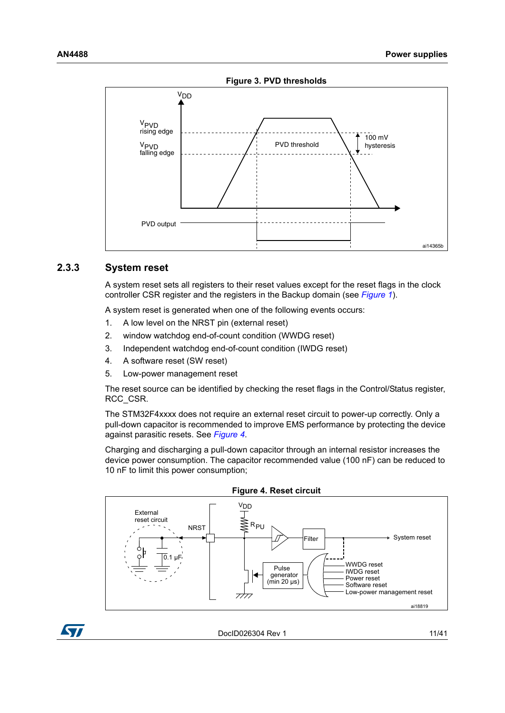<span id="page-10-1"></span>

#### <span id="page-10-0"></span>**2.3.3 System reset**

A system reset sets all registers to their reset values except for the reset flags in the clock controller CSR register and the registers in the Backup domain (see *[Figure 1](#page-8-0)*).

A system reset is generated when one of the following events occurs:

- 1. A low level on the NRST pin (external reset)
- 2. window watchdog end-of-count condition (WWDG reset)
- 3. Independent watchdog end-of-count condition (IWDG reset)
- 4. A software reset (SW reset)
- 5. Low-power management reset

The reset source can be identified by checking the reset flags in the Control/Status register, RCC\_CSR.

The STM32F4xxxx does not require an external reset circuit to power-up correctly. Only a pull-down capacitor is recommended to improve EMS performance by protecting the device against parasitic resets. See *[Figure 4](#page-10-2)*.

Charging and discharging a pull-down capacitor through an internal resistor increases the device power consumption. The capacitor recommended value (100 nF) can be reduced to 10 nF to limit this power consumption;

<span id="page-10-2"></span>



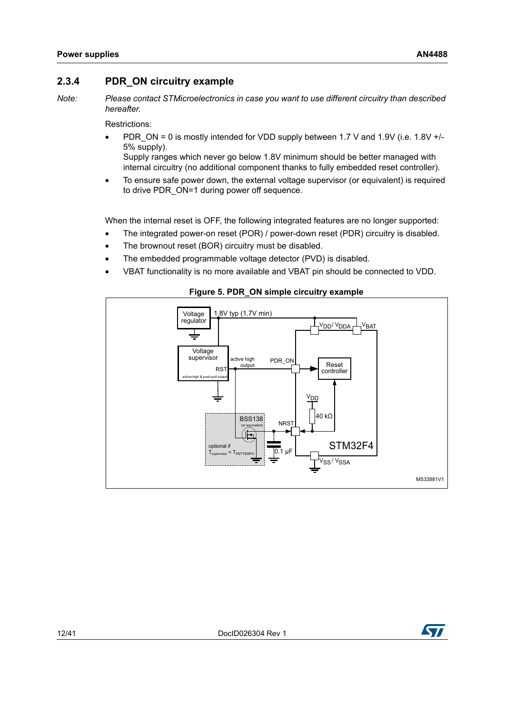#### <span id="page-11-0"></span>**2.3.4 PDR\_ON circuitry example**

*Note: Please contact STMicroelectronics in case you want to use different circuitry than described hereafter.*

Restrictions:

• PDR ON = 0 is mostly intended for VDD supply between 1.7 V and 1.9V (i.e. 1.8V  $+/-$ 5% supply).

Supply ranges which never go below 1.8V minimum should be better managed with internal circuitry (no additional component thanks to fully embedded reset controller).

• To ensure safe power down, the external voltage supervisor (or equivalent) is required to drive PDR ON=1 during power off sequence.

When the internal reset is OFF, the following integrated features are no longer supported:

- The integrated power-on reset (POR) / power-down reset (PDR) circuitry is disabled.
- The brownout reset (BOR) circuitry must be disabled.
- The embedded programmable voltage detector (PVD) is disabled.
- VBAT functionality is no more available and VBAT pin should be connected to VDD.



<span id="page-11-1"></span>

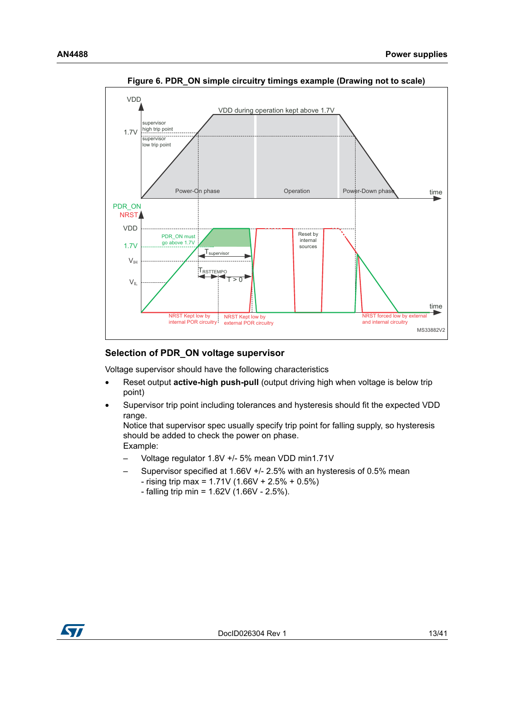<span id="page-12-0"></span>

**Figure 6. PDR\_ON simple circuitry timings example (Drawing not to scale)** 

#### **Selection of PDR\_ON voltage supervisor**

Voltage supervisor should have the following characteristics

- Reset output **active-high push-pull** (output driving high when voltage is below trip point)
- Supervisor trip point including tolerances and hysteresis should fit the expected VDD range.

Notice that supervisor spec usually specify trip point for falling supply, so hysteresis should be added to check the power on phase. Example:

- Voltage regulator 1.8V +/- 5% mean VDD min1.71V
	- Supervisor specified at 1.66V +/- 2.5% with an hysteresis of 0.5% mean  $-$  rising trip max = 1.71V (1.66V + 2.5% + 0.5%)
		- $-$  falling trip min = 1.62V (1.66V 2.5%).

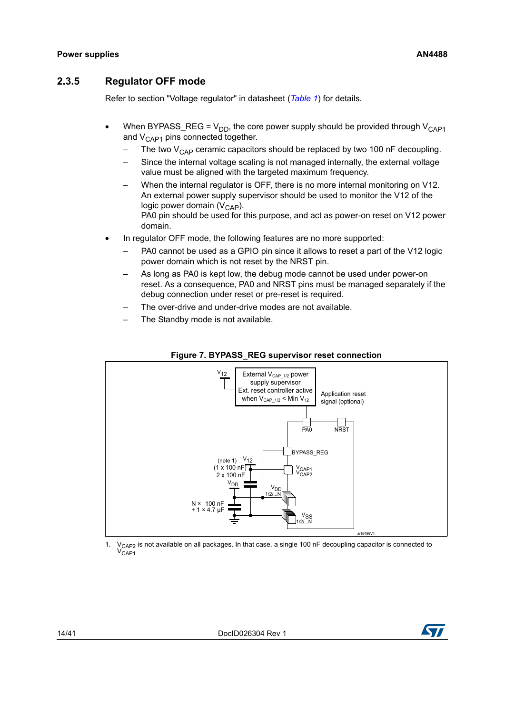#### <span id="page-13-0"></span>**2.3.5 Regulator OFF mode**

Refer to section "Voltage regulator" in datasheet (*[Table 1](#page-0-1)*) for details*.*

- When BYPASS\_REG =  $V_{DD}$ , the core power supply should be provided through  $V_{CAP1}$ and  $V_{\text{CAP1}}$  pins connected together.
	- The two  $V_{CAP}$  ceramic capacitors should be replaced by two 100 nF decoupling.
	- Since the internal voltage scaling is not managed internally, the external voltage value must be aligned with the targeted maximum frequency.
	- When the internal regulator is OFF, there is no more internal monitoring on V12. An external power supply supervisor should be used to monitor the V12 of the logic power domain  $(V_{\text{CAP}})$ . PA0 pin should be used for this purpose, and act as power-on reset on V12 power domain.
- In regulator OFF mode, the following features are no more supported:
	- PA0 cannot be used as a GPIO pin since it allows to reset a part of the V12 logic power domain which is not reset by the NRST pin.
	- As long as PA0 is kept low, the debug mode cannot be used under power-on reset. As a consequence, PA0 and NRST pins must be managed separately if the debug connection under reset or pre-reset is required.
	- The over-drive and under-drive modes are not available.
	- The Standby mode is not available.

<span id="page-13-1"></span>

#### **Figure 7. BYPASS\_REG supervisor reset connection**

1. V<sub>CAP2</sub> is not available on all packages. In that case, a single 100 nF decoupling capacitor is connected to  $V_{CAP1}$ 

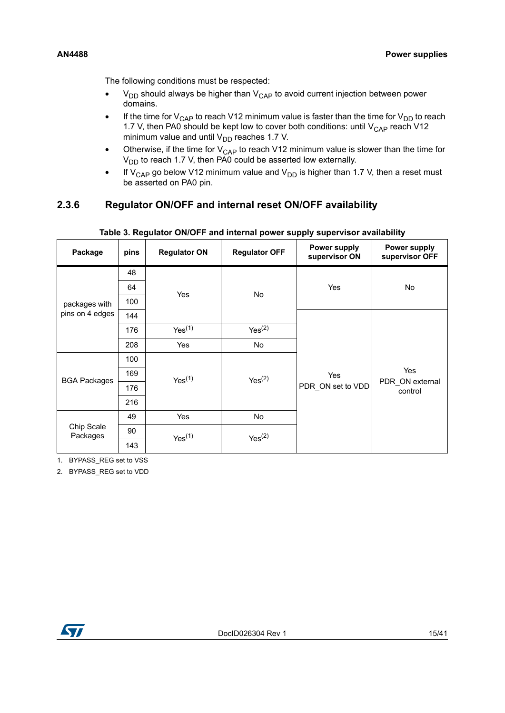The following conditions must be respected:

- $V_{DD}$  should always be higher than  $V_{CAP}$  to avoid current injection between power domains.
- If the time for  $V_{\text{CAP}}$  to reach V12 minimum value is faster than the time for  $V_{\text{DD}}$  to reach 1.7 V, then PA0 should be kept low to cover both conditions: until  $V_{\text{CAP}}$  reach V12 minimum value and until  $V_{DD}$  reaches 1.7 V.
- Otherwise, if the time for  $V_{CAP}$  to reach V12 minimum value is slower than the time for  $V_{DD}$  to reach 1.7 V, then PA0 could be asserted low externally.
- If  $V_{CAP}$  go below V12 minimum value and  $V_{DD}$  is higher than 1.7 V, then a reset must be asserted on PA0 pin.

## <span id="page-14-0"></span>**2.3.6 Regulator ON/OFF and internal reset ON/OFF availability**

<span id="page-14-1"></span>

| Package                | pins | <b>Regulator ON</b> | <b>Regulator OFF</b> | <b>Power supply</b><br>supervisor ON | <b>Power supply</b><br>supervisor OFF |  |  |
|------------------------|------|---------------------|----------------------|--------------------------------------|---------------------------------------|--|--|
|                        | 48   |                     |                      |                                      |                                       |  |  |
| packages with          | 64   | Yes                 | No                   | Yes                                  | No                                    |  |  |
|                        | 100  |                     |                      |                                      |                                       |  |  |
| pins on 4 edges        | 144  |                     |                      |                                      |                                       |  |  |
|                        | 176  | Yes <sup>(1)</sup>  | Yes <sup>(2)</sup>   |                                      |                                       |  |  |
|                        | 208  | <b>Yes</b>          | No                   |                                      |                                       |  |  |
|                        | 100  |                     |                      |                                      |                                       |  |  |
| <b>BGA Packages</b>    | 169  | Yes <sup>(1)</sup>  | Yes <sup>(2)</sup>   | Yes                                  | Yes                                   |  |  |
|                        | 176  |                     |                      | PDR ON set to VDD                    | PDR ON external<br>control            |  |  |
|                        | 216  |                     |                      |                                      |                                       |  |  |
|                        | 49   | Yes                 | No                   |                                      |                                       |  |  |
| Chip Scale<br>Packages | 90   | Yes <sup>(1)</sup>  | Yes <sup>(2)</sup>   |                                      |                                       |  |  |
|                        | 143  |                     |                      |                                      |                                       |  |  |

#### **Table 3. Regulator ON/OFF and internal power supply supervisor availability**

1. BYPASS\_REG set to VSS

2. BYPASS\_REG set to VDD

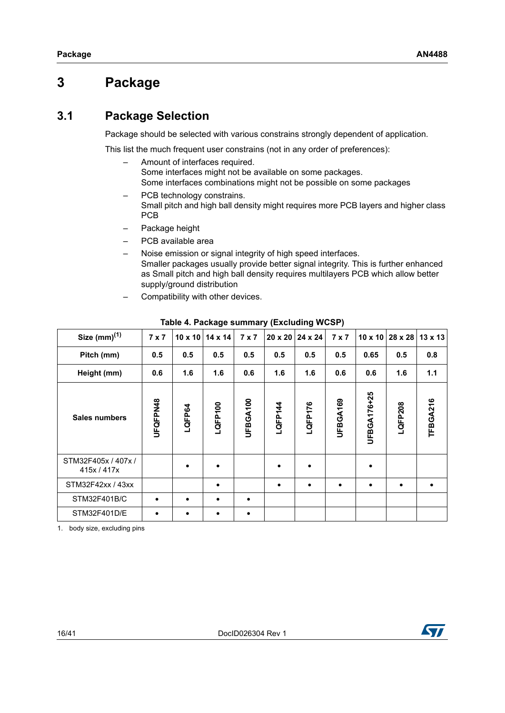# <span id="page-15-0"></span>**3 Package**

# <span id="page-15-1"></span>**3.1 Package Selection**

Package should be selected with various constrains strongly dependent of application.

This list the much frequent user constrains (not in any order of preferences):

- Amount of interfaces required. Some interfaces might not be available on some packages. Some interfaces combinations might not be possible on some packages
- PCB technology constrains. Small pitch and high ball density might requires more PCB layers and higher class PCB
- Package height
- PCB available area
- Noise emission or signal integrity of high speed interfaces. Smaller packages usually provide better signal integrity. This is further enhanced as Small pitch and high ball density requires multilayers PCB which allow better supply/ground distribution
- Compatibility with other devices.

<span id="page-15-2"></span>

| Size $(mm)^{(1)}$                  | $7 \times 7$ |        | $10 \times 10$   14 $\times$ 14 | $7 \times 7$ |           | $20 \times 20$   24 $\times$ 24 | $7 \times 7$ |             | $10 \times 10$ 28 x 28 13 x 13 |          |
|------------------------------------|--------------|--------|---------------------------------|--------------|-----------|---------------------------------|--------------|-------------|--------------------------------|----------|
| Pitch (mm)                         | 0.5          | 0.5    | 0.5                             | 0.5          | 0.5       | 0.5                             | 0.5          | 0.65        | 0.5                            | 0.8      |
| Height (mm)                        | 0.6          | 1.6    | 1.6                             | 0.6          | 1.6       | 1.6                             | 0.6          | 0.6         | 1.6                            | 1.1      |
| <b>Sales numbers</b>               | UFQFPN48     | LQFP64 | LQFP100                         | UFBGA100     | LQFP144   | LQFP176                         | UFBGA169     | UFBGA176+25 | LQFP208                        | TFBGA216 |
| STM32F405x / 407x /<br>415x / 417x |              |        |                                 |              | $\bullet$ |                                 |              |             |                                |          |
| STM32F42xx / 43xx                  |              |        |                                 |              | $\bullet$ | $\bullet$                       | $\bullet$    |             | $\bullet$                      |          |
| STM32F401B/C                       | $\bullet$    |        | $\bullet$                       | $\bullet$    |           |                                 |              |             |                                |          |
| STM32F401D/E                       |              |        |                                 | ٠            |           |                                 |              |             |                                |          |

#### **Table 4. Package summary (Excluding WCSP)**

1. body size, excluding pins

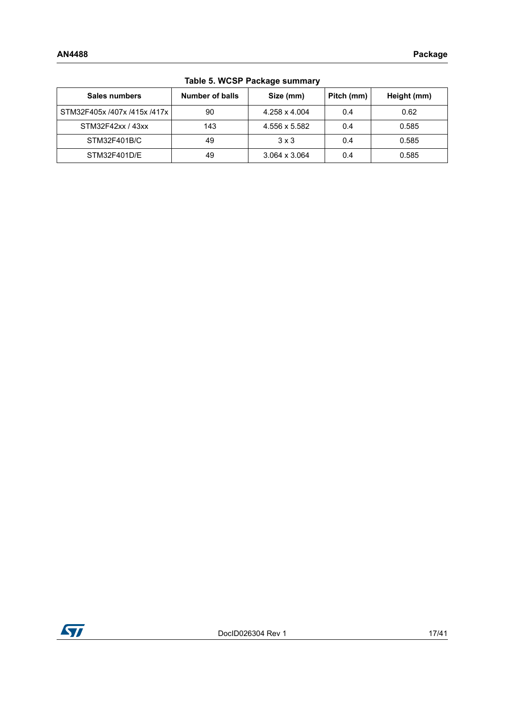<span id="page-16-0"></span>

| Table 0. 11001 Tackage Suffillary |                 |               |            |             |  |  |  |  |
|-----------------------------------|-----------------|---------------|------------|-------------|--|--|--|--|
| Sales numbers                     | Number of balls | Size (mm)     | Pitch (mm) | Height (mm) |  |  |  |  |
| STM32F405x /407x /415x /417x      | 90              | 4.258 x 4.004 | 0.4        | 0.62        |  |  |  |  |
| STM32F42xx / 43xx                 | 143             | 4.556 x 5.582 | 0.4        | 0.585       |  |  |  |  |
| STM32F401B/C                      | 49              | $3 \times 3$  | 0.4        | 0.585       |  |  |  |  |
| STM32F401D/E                      | 49              | 3.064 x 3.064 | 0.4        | 0.585       |  |  |  |  |

## **Table 5. WCSP Package summary**

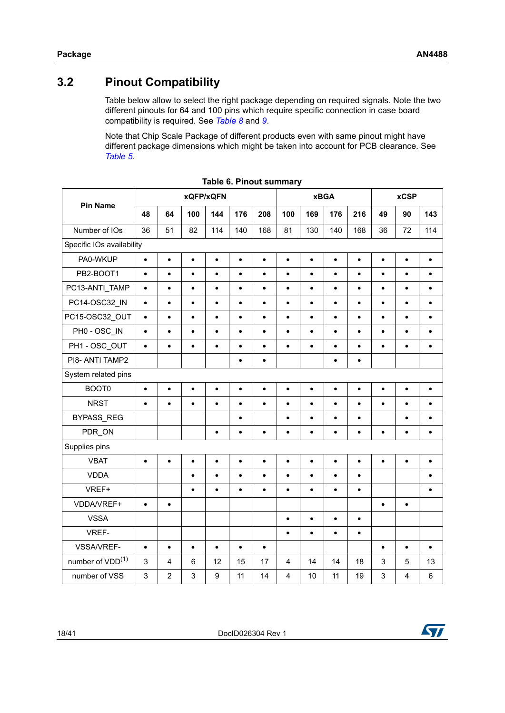# <span id="page-17-0"></span>**3.2 Pinout Compatibility**

Table below allow to select the right package depending on required signals. Note the two different pinouts for 64 and 100 pins which require specific connection in case board compatibility is required. See *[Table 8](#page-18-1)* and *[9](#page-18-2)*.

Note that Chip Scale Package of different products even with same pinout might have different package dimensions which might be taken into account for PCB clearance. See *[Table 5](#page-16-0)*.

<span id="page-17-1"></span>

|                              | xQFP/xQFN                 |                |           |           |           |           | <b>xBGA</b><br><b>xCSP</b> |           |           |           |                           |           |                 |
|------------------------------|---------------------------|----------------|-----------|-----------|-----------|-----------|----------------------------|-----------|-----------|-----------|---------------------------|-----------|-----------------|
| <b>Pin Name</b>              | 48                        | 64             | 100       | 144       | 176       | 208       | 100                        | 169       | 176       | 216       | 49                        | 90        | 143             |
| Number of IOs                | 36                        | 51             | 82        | 114       | 140       | 168       | 81                         | 130       | 140       | 168       | 36                        | 72        | 114             |
|                              | Specific IOs availability |                |           |           |           |           |                            |           |           |           |                           |           |                 |
| PA0-WKUP                     | $\bullet$                 | $\bullet$      | $\bullet$ | $\bullet$ | $\bullet$ | $\bullet$ | $\bullet$                  | $\bullet$ | $\bullet$ | $\bullet$ | $\bullet$                 | $\bullet$ | $\bullet$       |
| PB2-BOOT1                    | $\bullet$                 | $\bullet$      | $\bullet$ | $\bullet$ | $\bullet$ | $\bullet$ | $\bullet$                  | $\bullet$ | $\bullet$ | $\bullet$ | $\bullet$                 | $\bullet$ | $\bullet$       |
| PC13-ANTI_TAMP               | $\bullet$                 | $\bullet$      | $\bullet$ | $\bullet$ | $\bullet$ | $\bullet$ | $\bullet$                  | $\bullet$ | $\bullet$ | $\bullet$ | $\bullet$                 | $\bullet$ | $\bullet$       |
| PC14-OSC32_IN                | $\bullet$                 | $\bullet$      | $\bullet$ | $\bullet$ | $\bullet$ | $\bullet$ | $\bullet$                  | $\bullet$ | $\bullet$ | $\bullet$ | $\bullet$                 | $\bullet$ | $\bullet$       |
| PC15-OSC32 OUT               | $\bullet$                 | $\bullet$      | $\bullet$ | $\bullet$ | $\bullet$ | $\bullet$ | $\bullet$                  | $\bullet$ | $\bullet$ | $\bullet$ | $\bullet$                 | $\bullet$ | $\bullet$       |
| PH0 - OSC IN                 | $\bullet$                 | $\bullet$      | $\bullet$ | $\bullet$ | $\bullet$ | $\bullet$ | $\bullet$                  | $\bullet$ | $\bullet$ | $\bullet$ | $\bullet$                 | $\bullet$ | $\bullet$       |
| PH1 - OSC_OUT                | $\bullet$                 | $\bullet$      | $\bullet$ | $\bullet$ | $\bullet$ | $\bullet$ | $\bullet$                  | $\bullet$ | $\bullet$ | $\bullet$ | $\bullet$                 | $\bullet$ | $\bullet$       |
| PI8- ANTI TAMP2              |                           |                |           |           | $\bullet$ | $\bullet$ |                            |           | $\bullet$ | $\bullet$ |                           |           |                 |
| System related pins          |                           |                |           |           |           |           |                            |           |           |           |                           |           |                 |
| BOOT0                        | $\bullet$                 | $\bullet$      | $\bullet$ | $\bullet$ | $\bullet$ | $\bullet$ | $\bullet$                  | $\bullet$ | $\bullet$ | $\bullet$ | $\bullet$                 | $\bullet$ | $\bullet$       |
| <b>NRST</b>                  | $\bullet$                 | $\bullet$      | $\bullet$ | $\bullet$ | $\bullet$ | $\bullet$ | $\bullet$                  | $\bullet$ | $\bullet$ | $\bullet$ | $\bullet$                 | $\bullet$ | $\bullet$       |
| <b>BYPASS REG</b>            |                           |                |           |           | $\bullet$ |           | $\bullet$                  | $\bullet$ | $\bullet$ | $\bullet$ |                           | $\bullet$ | $\bullet$       |
| PDR ON                       |                           |                |           | $\bullet$ | $\bullet$ | $\bullet$ | $\bullet$                  | $\bullet$ | $\bullet$ | $\bullet$ | $\bullet$                 | $\bullet$ | $\bullet$       |
| Supplies pins                |                           |                |           |           |           |           |                            |           |           |           |                           |           |                 |
| <b>VBAT</b>                  | $\bullet$                 | $\bullet$      | $\bullet$ | $\bullet$ | $\bullet$ | $\bullet$ | $\bullet$                  | $\bullet$ | $\bullet$ | $\bullet$ | $\bullet$                 | $\bullet$ | $\bullet$       |
| <b>VDDA</b>                  |                           |                | $\bullet$ | $\bullet$ | $\bullet$ | $\bullet$ | $\bullet$                  | $\bullet$ | $\bullet$ | $\bullet$ |                           |           | $\bullet$       |
| VREF+                        |                           |                | $\bullet$ | $\bullet$ | $\bullet$ | $\bullet$ | $\bullet$                  | $\bullet$ | $\bullet$ | $\bullet$ |                           |           | $\bullet$       |
| VDDA/VREF+                   | $\bullet$                 | $\bullet$      |           |           |           |           |                            |           |           |           | $\bullet$                 | $\bullet$ |                 |
| <b>VSSA</b>                  |                           |                |           |           |           |           | $\bullet$                  | $\bullet$ | $\bullet$ | $\bullet$ |                           |           |                 |
| VREF-                        |                           |                |           |           |           |           | $\bullet$                  | $\bullet$ | $\bullet$ | $\bullet$ |                           |           |                 |
| VSSA/VREF-                   | $\bullet$                 | $\bullet$      | $\bullet$ | $\bullet$ | $\bullet$ | $\bullet$ |                            |           |           |           | $\bullet$                 | $\bullet$ | $\bullet$       |
| number of VDD <sup>(1)</sup> | $\sqrt{3}$                | 4              | 6         | 12        | 15        | 17        | 4                          | 14        | 14        | 18        | $\ensuremath{\mathsf{3}}$ | 5         | 13              |
| number of VSS                | 3                         | $\overline{2}$ | 3         | 9         | 11        | 14        | 4                          | 10        | 11        | 19        | 3                         | 4         | $6\phantom{1}6$ |

|  |  |  | Table 6. Pinout summary |
|--|--|--|-------------------------|
|--|--|--|-------------------------|



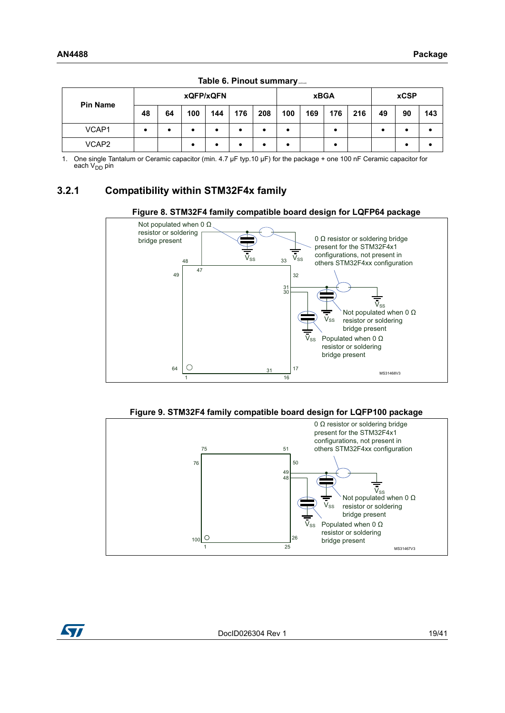| <b>Pin Name</b> |           |    |     | xQFP/xQFN |     |     |     |     | <b>xBGA</b> |     |    | <b>xCSP</b> |     |
|-----------------|-----------|----|-----|-----------|-----|-----|-----|-----|-------------|-----|----|-------------|-----|
|                 | 48        | 64 | 100 | 144       | 176 | 208 | 100 | 169 | 176         | 216 | 49 | 90          | 143 |
| VCAP1           | $\bullet$ |    |     | ٠         |     | ٠   |     |     |             |     |    |             |     |
| VCAP2           |           |    |     | ٠         |     |     | ٠   |     |             |     |    |             |     |

Table 6. Pinout summary<sub>---</sub>

1. One single Tantalum or Ceramic capacitor (min. 4.7 µF typ.10 µF) for the package + one 100 nF Ceramic capacitor for each  $V_{DD}$  pin

#### <span id="page-18-0"></span>**3.2.1 Compatibility within STM32F4x family**

<span id="page-18-1"></span>



<span id="page-18-2"></span>

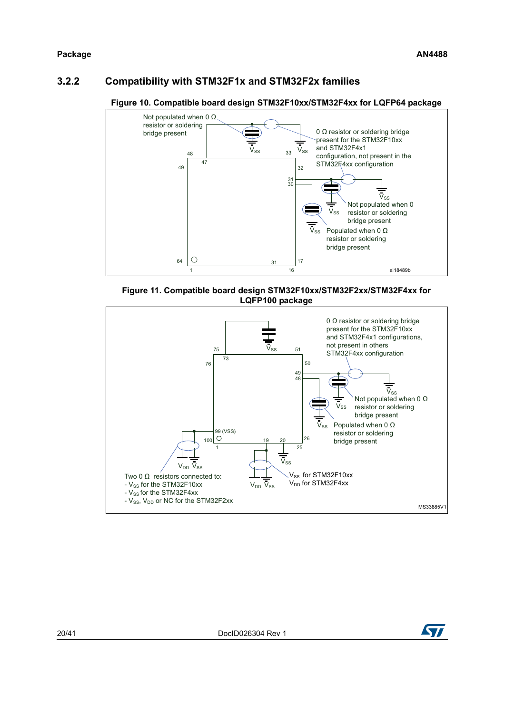## <span id="page-19-0"></span>**3.2.2 Compatibility with STM32F1x and STM32F2x families**



#### <span id="page-19-1"></span>**Figure 10. Compatible board design STM32F10xx/STM32F4xx for LQFP64 package**

<span id="page-19-2"></span>



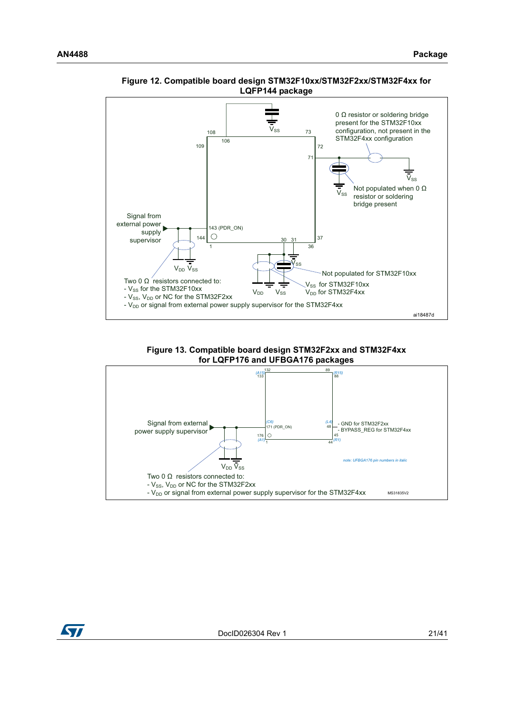

#### <span id="page-20-0"></span>**Figure 12. Compatible board design STM32F10xx/STM32F2xx/STM32F4xx for LQFP144 package**

**Figure 13. Compatible board design STM32F2xx and STM32F4xx for LQFP176 and UFBGA176 packages**

<span id="page-20-1"></span>

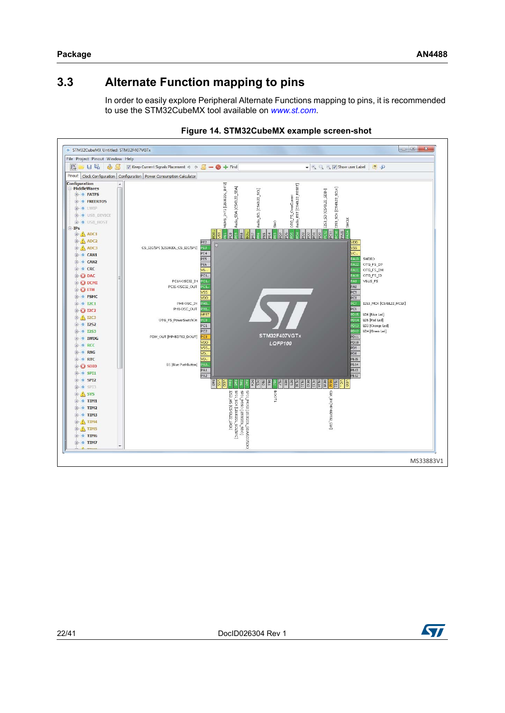# <span id="page-21-0"></span>**3.3 Alternate Function mapping to pins**

<span id="page-21-1"></span>In order to easily explore Peripheral Alternate Functions mapping to pins, it is recommended to use the STM32CubeMX tool available on *<www.st.com>*.



**Figure 14. STM32CubeMX example screen-shot**

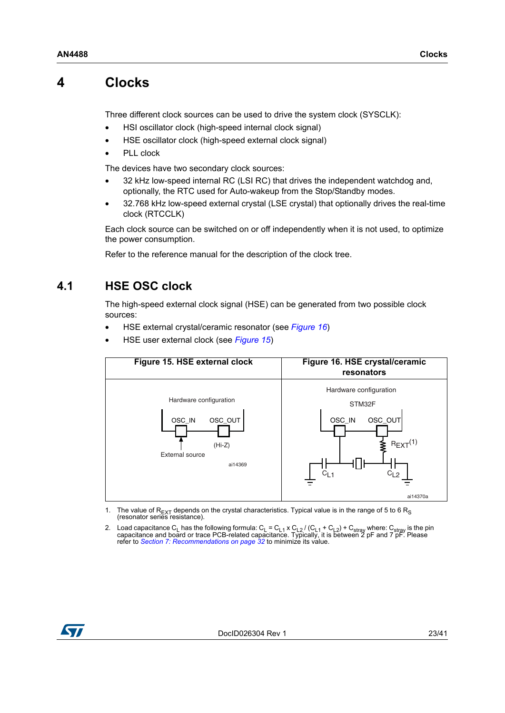# <span id="page-22-0"></span>**4 Clocks**

Three different clock sources can be used to drive the system clock (SYSCLK):

- HSI oscillator clock (high-speed internal clock signal)
- HSE oscillator clock (high-speed external clock signal)
- PLL clock

The devices have two secondary clock sources:

- 32 kHz low-speed internal RC (LSI RC) that drives the independent watchdog and, optionally, the RTC used for Auto-wakeup from the Stop/Standby modes.
- 32.768 kHz low-speed external crystal (LSE crystal) that optionally drives the real-time clock (RTCCLK)

Each clock source can be switched on or off independently when it is not used, to optimize the power consumption.

Refer to the reference manual for the description of the clock tree.

# <span id="page-22-1"></span>**4.1 HSE OSC clock**

The high-speed external clock signal (HSE) can be generated from two possible clock sources:

- HSE external crystal/ceramic resonator (see *[Figure 16](#page-22-3)*)
- <span id="page-22-3"></span>• HSE user external clock (see *[Figure 15](#page-22-2)*)

<span id="page-22-2"></span>

- 1. The value of  $R_{\text{EXT}}$  depends on the crystal characteristics. Typical value is in the range of 5 to 6  $R_S$  (resonator series resistance).
- 2. Load capacitance C<sub>L</sub> has the following formula: C<sub>L</sub> = C<sub>L1</sub> x C<sub>L2</sub> / (C<sub>L1</sub> + C<sub>L2</sub>) + C<sub>stray</sub> where: C<sub>stray</sub> is the pin capacitance and board or trace PCB-related capacitance. Typically, it is between 2 pF and 7 refer to *[Section 7: Recommendations on page 32](#page-31-0)* to minimize its value.

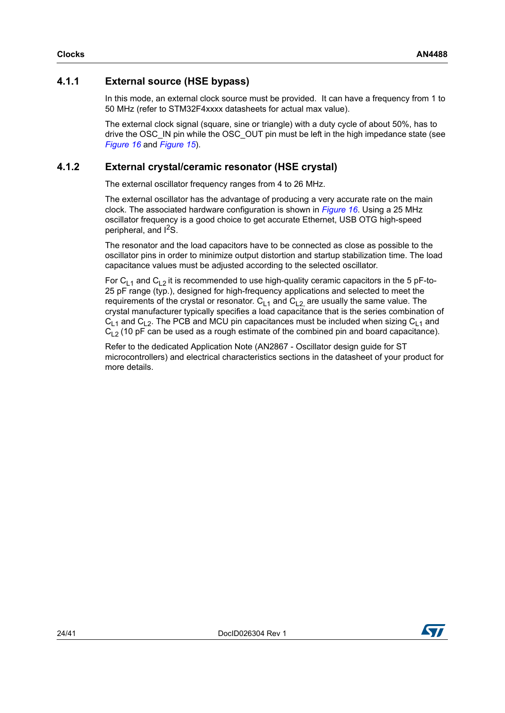## <span id="page-23-0"></span>**4.1.1 External source (HSE bypass)**

In this mode, an external clock source must be provided. It can have a frequency from 1 to 50 MHz (refer to STM32F4xxxx datasheets for actual max value).

The external clock signal (square, sine or triangle) with a duty cycle of about 50%, has to drive the OSC\_IN pin while the OSC\_OUT pin must be left in the high impedance state (see *[Figure 16](#page-22-3)* and *[Figure 15](#page-22-2)*).

## <span id="page-23-1"></span>**4.1.2 External crystal/ceramic resonator (HSE crystal)**

The external oscillator frequency ranges from 4 to 26 MHz.

The external oscillator has the advantage of producing a very accurate rate on the main clock. The associated hardware configuration is shown in *[Figure 16](#page-22-3)*. Using a 25 MHz oscillator frequency is a good choice to get accurate Ethernet, USB OTG high-speed peripheral, and  $1^2$ S.

The resonator and the load capacitors have to be connected as close as possible to the oscillator pins in order to minimize output distortion and startup stabilization time. The load capacitance values must be adjusted according to the selected oscillator.

For C<sub>L1</sub> and C<sub>L2</sub> it is recommended to use high-quality ceramic capacitors in the 5 pF-to-25 pF range (typ.), designed for high-frequency applications and selected to meet the requirements of the crystal or resonator.  $C_{1,1}$  and  $C_{1,2}$  are usually the same value. The crystal manufacturer typically specifies a load capacitance that is the series combination of  $C_{1,1}$  and  $C_{1,2}$ . The PCB and MCU pin capacitances must be included when sizing  $C_{1,1}$  and  $C_{1,2}$  (10 pF can be used as a rough estimate of the combined pin and board capacitance).

Refer to the dedicated Application Note (AN2867 - Oscillator design guide for ST microcontrollers) and electrical characteristics sections in the datasheet of your product for more details.

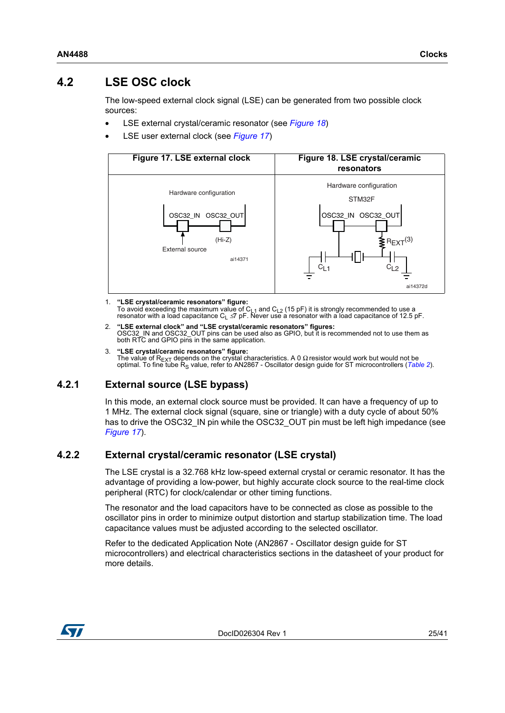# <span id="page-24-0"></span>**4.2 LSE OSC clock**

The low-speed external clock signal (LSE) can be generated from two possible clock sources:

- LSE external crystal/ceramic resonator (see *[Figure 18](#page-24-4)*)
- LSE user external clock (see *[Figure 17](#page-24-3)*)

<span id="page-24-4"></span><span id="page-24-3"></span>

- 1. **"LSE crystal/ceramic resonators" figure:** To avoid exceeding the maximum value of C<sub>L1</sub> and C<sub>L2</sub> (15 pF) it is strongly recommended to use a<br>resonator with a load capacitance C<sub>L</sub> ≤7 pF. Never use a resonator with a load capacitance of 12.5 pF.
- 2. **"LSE external clock" and "LSE crystal/ceramic resonators" figures:** OSC32\_IN and OSC32\_OUT pins can be used also as GPIO, but it is recommended not to use them as both RTC and GPIO pins in the same application.
- 3. **"LSE crystal/ceramic resonators" figure:** The value of R<sub>EXT</sub> depends on the crystal characteristics. A 0 Ω resistor would work but would not be<br>optimal. To fine tube R<sub>S</sub> value, refer to AN2867 - Oscillator design guide for ST microcontrollers (*[Table 2](#page-5-1)*).

## <span id="page-24-1"></span>**4.2.1 External source (LSE bypass)**

In this mode, an external clock source must be provided. It can have a frequency of up to 1 MHz. The external clock signal (square, sine or triangle) with a duty cycle of about 50% has to drive the OSC32 IN pin while the OSC32 OUT pin must be left high impedance (see *[Figure 17](#page-24-3)*).

#### <span id="page-24-2"></span>**4.2.2 External crystal/ceramic resonator (LSE crystal)**

The LSE crystal is a 32.768 kHz low-speed external crystal or ceramic resonator. It has the advantage of providing a low-power, but highly accurate clock source to the real-time clock peripheral (RTC) for clock/calendar or other timing functions.

The resonator and the load capacitors have to be connected as close as possible to the oscillator pins in order to minimize output distortion and startup stabilization time. The load capacitance values must be adjusted according to the selected oscillator.

Refer to the dedicated Application Note (AN2867 - Oscillator design guide for ST microcontrollers) and electrical characteristics sections in the datasheet of your product for more details.

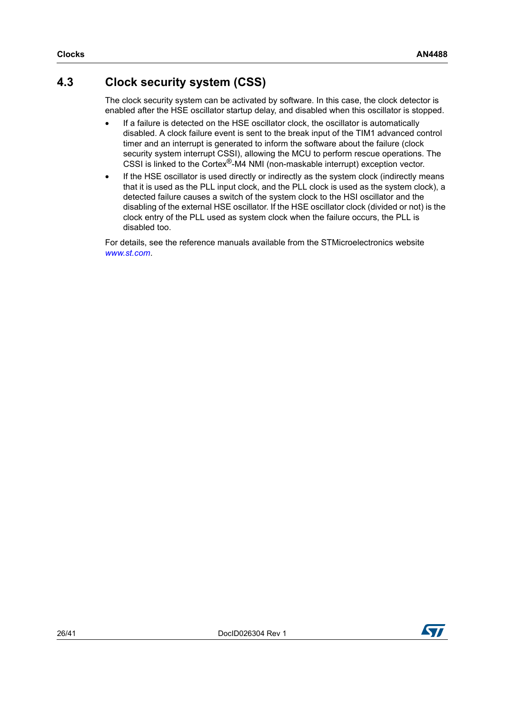# <span id="page-25-0"></span>**4.3 Clock security system (CSS)**

The clock security system can be activated by software. In this case, the clock detector is enabled after the HSE oscillator startup delay, and disabled when this oscillator is stopped.

- If a failure is detected on the HSE oscillator clock, the oscillator is automatically disabled. A clock failure event is sent to the break input of the TIM1 advanced control timer and an interrupt is generated to inform the software about the failure (clock security system interrupt CSSI), allowing the MCU to perform rescue operations. The CSSI is linked to the Cortex®-M4 NMI (non-maskable interrupt) exception vector.
- If the HSE oscillator is used directly or indirectly as the system clock (indirectly means that it is used as the PLL input clock, and the PLL clock is used as the system clock), a detected failure causes a switch of the system clock to the HSI oscillator and the disabling of the external HSE oscillator. If the HSE oscillator clock (divided or not) is the clock entry of the PLL used as system clock when the failure occurs, the PLL is disabled too.

For details, see the reference manuals available from the STMicroelectronics website *www.st.com*.

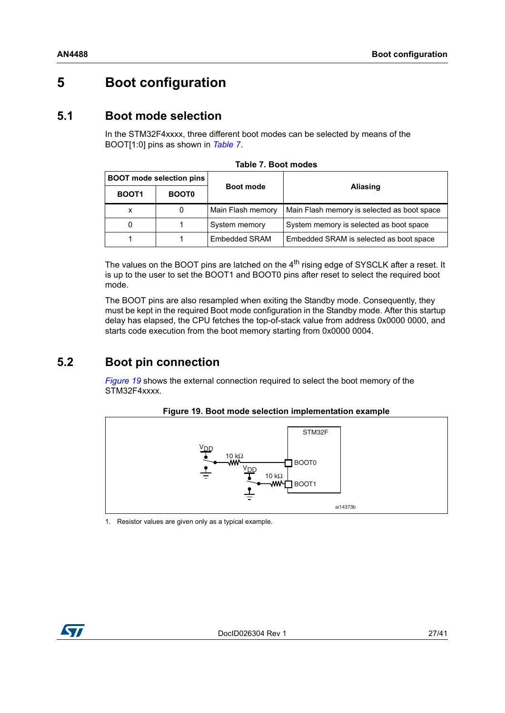# <span id="page-26-0"></span>**5 Boot configuration**

# <span id="page-26-1"></span>**5.1 Boot mode selection**

In the STM32F4xxxx, three different boot modes can be selected by means of the BOOT[1:0] pins as shown in *[Table 7](#page-26-3)*.

<span id="page-26-3"></span>

|                   | <b>BOOT</b> mode selection pins |                   |                                             |
|-------------------|---------------------------------|-------------------|---------------------------------------------|
| BOOT <sub>1</sub> | <b>BOOT0</b>                    | Boot mode         | Aliasing                                    |
|                   |                                 | Main Flash memory | Main Flash memory is selected as boot space |
|                   |                                 | System memory     | System memory is selected as boot space     |
|                   |                                 | Embedded SRAM     | Embedded SRAM is selected as boot space     |

The values on the BOOT pins are latched on the 4<sup>th</sup> rising edge of SYSCLK after a reset. It is up to the user to set the BOOT1 and BOOT0 pins after reset to select the required boot mode.

The BOOT pins are also resampled when exiting the Standby mode. Consequently, they must be kept in the required Boot mode configuration in the Standby mode. After this startup delay has elapsed, the CPU fetches the top-of-stack value from address 0x0000 0000, and starts code execution from the boot memory starting from 0x0000 0004.

# <span id="page-26-2"></span>**5.2 Boot pin connection**

*[Figure 19](#page-26-4)* shows the external connection required to select the boot memory of the STM32F4xxxx.

<span id="page-26-4"></span>

#### **Figure 19. Boot mode selection implementation example**

1. Resistor values are given only as a typical example.

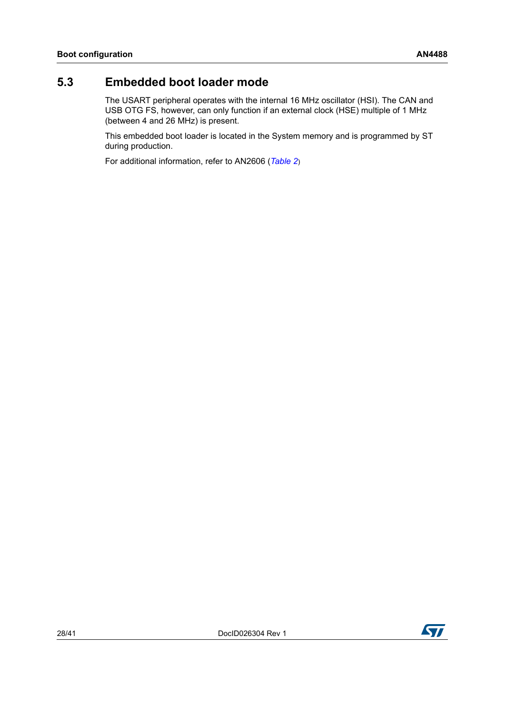# <span id="page-27-0"></span>**5.3 Embedded boot loader mode**

The USART peripheral operates with the internal 16 MHz oscillator (HSI). The CAN and USB OTG FS, however, can only function if an external clock (HSE) multiple of 1 MHz (between 4 and 26 MHz) is present.

This embedded boot loader is located in the System memory and is programmed by ST during production.

For additional information, refer to AN2606 (*[Table 2](#page-5-1)*)

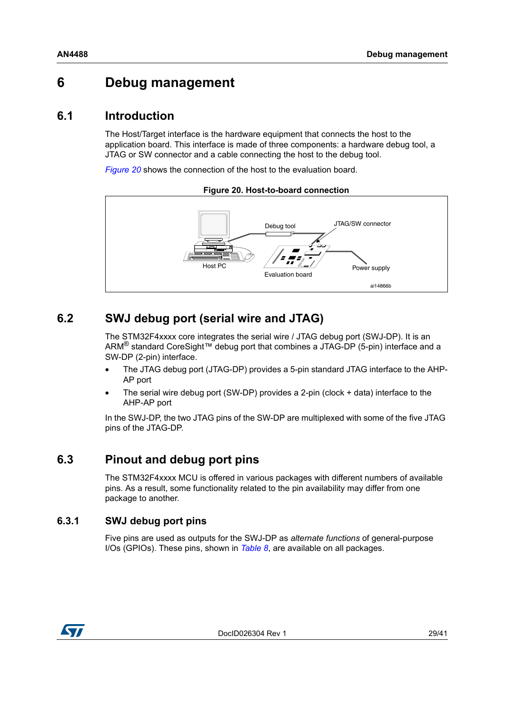# <span id="page-28-0"></span>**6 Debug management**

# <span id="page-28-1"></span>**6.1 Introduction**

The Host/Target interface is the hardware equipment that connects the host to the application board. This interface is made of three components: a hardware debug tool, a JTAG or SW connector and a cable connecting the host to the debug tool.

*[Figure 20](#page-28-5)* shows the connection of the host to the evaluation board.

<span id="page-28-5"></span>

**Figure 20. Host-to-board connection**

# <span id="page-28-2"></span>**6.2 SWJ debug port (serial wire and JTAG)**

The STM32F4xxxx core integrates the serial wire / JTAG debug port (SWJ-DP). It is an ARM® standard CoreSight™ debug port that combines a JTAG-DP (5-pin) interface and a SW-DP (2-pin) interface.

- The JTAG debug port (JTAG-DP) provides a 5-pin standard JTAG interface to the AHP-AP port
- The serial wire debug port (SW-DP) provides a 2-pin (clock + data) interface to the AHP-AP port

In the SWJ-DP, the two JTAG pins of the SW-DP are multiplexed with some of the five JTAG pins of the JTAG-DP.

# <span id="page-28-3"></span>**6.3 Pinout and debug port pins**

The STM32F4xxxx MCU is offered in various packages with different numbers of available pins. As a result, some functionality related to the pin availability may differ from one package to another.

#### <span id="page-28-4"></span>**6.3.1 SWJ debug port pins**

Five pins are used as outputs for the SWJ-DP as *alternate functions* of general-purpose I/Os (GPIOs). These pins, shown in *[Table 8](#page-29-2)*, are available on all packages.

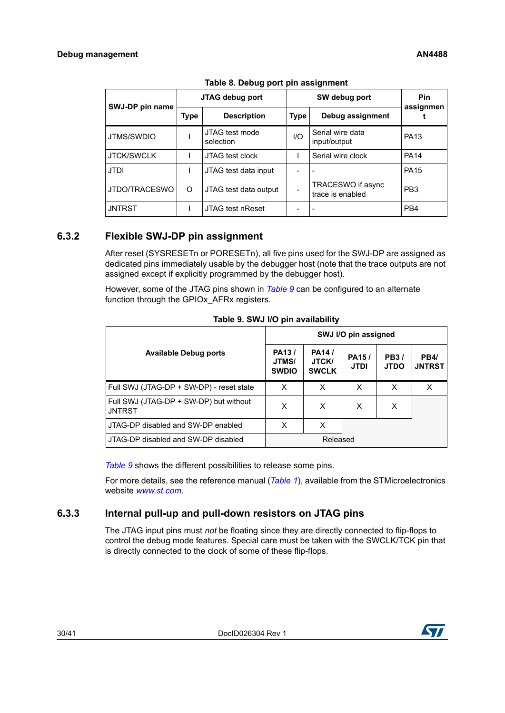<span id="page-29-2"></span>

| SWJ-DP pin name   |      | JTAG debug port             |      | SW debug port                         | Pin<br>assignmen |
|-------------------|------|-----------------------------|------|---------------------------------------|------------------|
|                   | Type | <b>Description</b>          | Type | Debug assignment                      |                  |
| JTMS/SWDIO        |      | JTAG test mode<br>selection | 1/O  | Serial wire data<br>input/output      | <b>PA13</b>      |
| <b>JTCK/SWCLK</b> |      | JTAG test clock             |      | Serial wire clock                     | <b>PA14</b>      |
| <b>JTDI</b>       |      | JTAG test data input        |      |                                       | <b>PA15</b>      |
| JTDO/TRACESWO     | O    | JTAG test data output       |      | TRACESWO if async<br>trace is enabled | PB <sub>3</sub>  |
| <b>JNTRST</b>     |      | <b>JTAG test nReset</b>     |      |                                       | PB <sub>4</sub>  |

**Table 8. Debug port pin assignment**

## <span id="page-29-0"></span>**6.3.2 Flexible SWJ-DP pin assignment**

After reset (SYSRESETn or PORESETn), all five pins used for the SWJ-DP are assigned as dedicated pins immediately usable by the debugger host (note that the trace outputs are not assigned except if explicitly programmed by the debugger host).

However, some of the JTAG pins shown in *[Table 9](#page-29-3)* can be configured to an alternate function through the GPIO<sub>x</sub> AFR<sub>x</sub> registers.

<span id="page-29-3"></span>

|                                                         |                                             |                                       | SWJ I/O pin assigned        |                            |                              |
|---------------------------------------------------------|---------------------------------------------|---------------------------------------|-----------------------------|----------------------------|------------------------------|
| <b>Available Debug ports</b>                            | PA <sub>13</sub> /<br>JTMS/<br><b>SWDIO</b> | <b>PA14/</b><br>JTCK/<br><b>SWCLK</b> | <b>PA15/</b><br><b>JTDI</b> | <b>PB3/</b><br><b>JTDO</b> | <b>PB4/</b><br><b>JNTRST</b> |
| Full SWJ (JTAG-DP + SW-DP) - reset state                | X                                           | X                                     | x                           | X                          | X                            |
| Full SWJ (JTAG-DP + SW-DP) but without<br><b>JNTRST</b> | X                                           | X                                     | X                           | X                          |                              |
| JTAG-DP disabled and SW-DP enabled                      | x                                           | $\times$                              |                             |                            |                              |
| JTAG-DP disabled and SW-DP disabled                     |                                             | Released                              |                             |                            |                              |

**Table 9. SWJ I/O pin availability**

*[Table 9](#page-29-3)* shows the different possibilities to release some pins.

For more details, see the reference manual (*[Table 1](#page-0-1)*[\), available from the STMicroelectronics](http://www.st.com)  [website](http://www.st.com) *www.st.com*.

#### <span id="page-29-1"></span>**6.3.3 Internal pull-up and pull-down resistors on JTAG pins**

The JTAG input pins must *not* be floating since they are directly connected to flip-flops to control the debug mode features. Special care must be taken with the SWCLK/TCK pin that is directly connected to the clock of some of these flip-flops.

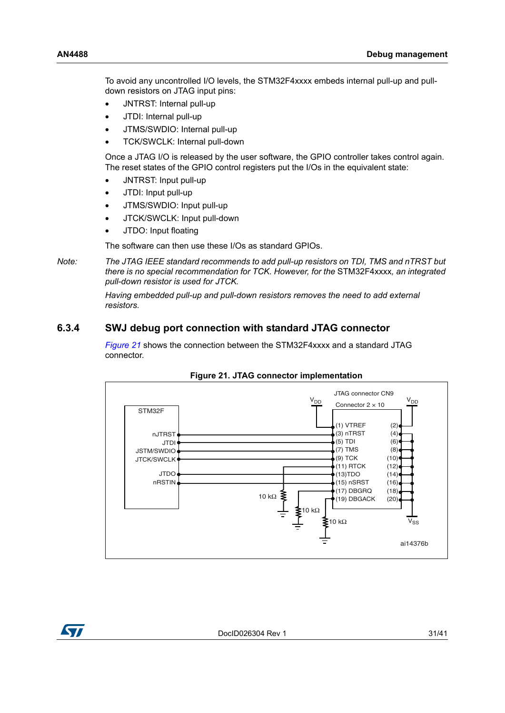To avoid any uncontrolled I/O levels, the STM32F4xxxx embeds internal pull-up and pulldown resistors on JTAG input pins:

- JNTRST: Internal pull-up
- JTDI: Internal pull-up
- JTMS/SWDIO: Internal pull-up
- TCK/SWCLK: Internal pull-down

Once a JTAG I/O is released by the user software, the GPIO controller takes control again. The reset states of the GPIO control registers put the I/Os in the equivalent state:

- JNTRST: Input pull-up
- JTDI: Input pull-up
- JTMS/SWDIO: Input pull-up
- JTCK/SWCLK: Input pull-down
- JTDO: Input floating

The software can then use these I/Os as standard GPIOs.

*Note: The JTAG IEEE standard recommends to add pull-up resistors on TDI, TMS and nTRST but there is no special recommendation for TCK. However, for the* STM32F4xxxx*, an integrated pull-down resistor is used for JTCK.*

> *Having embedded pull-up and pull-down resistors removes the need to add external resistors.*

#### <span id="page-30-0"></span>**6.3.4 SWJ debug port connection with standard JTAG connector**

*[Figure 21](#page-30-1)* shows the connection between the STM32F4xxxx and a standard JTAG connector.

<span id="page-30-1"></span>

**Figure 21. JTAG connector implementation**

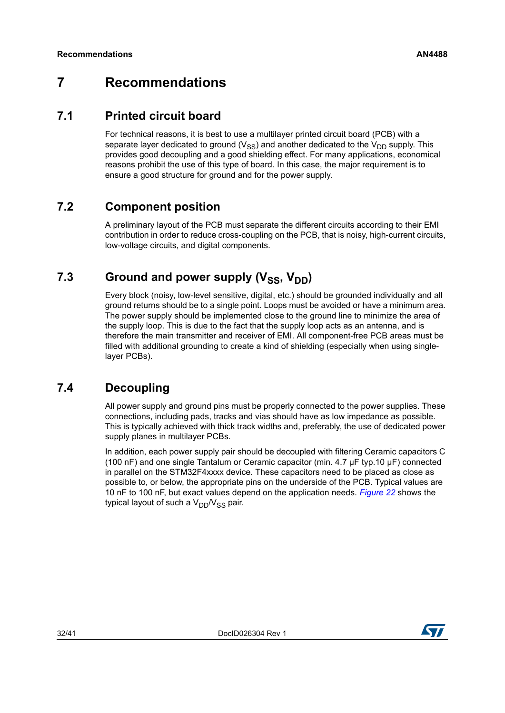# <span id="page-31-0"></span>**7 Recommendations**

# <span id="page-31-1"></span>**7.1 Printed circuit board**

For technical reasons, it is best to use a multilayer printed circuit board (PCB) with a separate layer dedicated to ground  $(V_{SS})$  and another dedicated to the  $V_{DD}$  supply. This provides good decoupling and a good shielding effect. For many applications, economical reasons prohibit the use of this type of board. In this case, the major requirement is to ensure a good structure for ground and for the power supply.

# <span id="page-31-2"></span>**7.2 Component position**

A preliminary layout of the PCB must separate the different circuits according to their EMI contribution in order to reduce cross-coupling on the PCB, that is noisy, high-current circuits, low-voltage circuits, and digital components.

# <span id="page-31-3"></span>**7.3** Ground and power supply (V<sub>SS</sub>, V<sub>DD</sub>)

Every block (noisy, low-level sensitive, digital, etc.) should be grounded individually and all ground returns should be to a single point. Loops must be avoided or have a minimum area. The power supply should be implemented close to the ground line to minimize the area of the supply loop. This is due to the fact that the supply loop acts as an antenna, and is therefore the main transmitter and receiver of EMI. All component-free PCB areas must be filled with additional grounding to create a kind of shielding (especially when using singlelayer PCBs).

# <span id="page-31-4"></span>**7.4 Decoupling**

All power supply and ground pins must be properly connected to the power supplies. These connections, including pads, tracks and vias should have as low impedance as possible. This is typically achieved with thick track widths and, preferably, the use of dedicated power supply planes in multilayer PCBs.

In addition, each power supply pair should be decoupled with filtering Ceramic capacitors C (100 nF) and one single Tantalum or Ceramic capacitor (min. 4.7 µF typ.10 µF) connected in parallel on the STM32F4xxxx device. These capacitors need to be placed as close as possible to, or below, the appropriate pins on the underside of the PCB. Typical values are 10 nF to 100 nF, but exact values depend on the application needs. *[Figure 22](#page-32-2)* shows the typical layout of such a  $V_{DD}/V_{SS}$  pair.

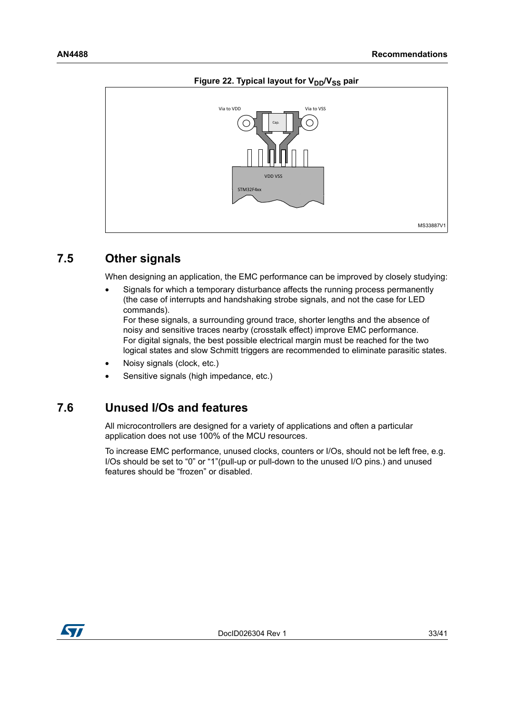<span id="page-32-2"></span>

#### Figure 22. Typical layout for V<sub>DD</sub>/V<sub>SS</sub> pair

## <span id="page-32-0"></span>**7.5 Other signals**

When designing an application, the EMC performance can be improved by closely studying:

• Signals for which a temporary disturbance affects the running process permanently (the case of interrupts and handshaking strobe signals, and not the case for LED commands).

For these signals, a surrounding ground trace, shorter lengths and the absence of noisy and sensitive traces nearby (crosstalk effect) improve EMC performance. For digital signals, the best possible electrical margin must be reached for the two logical states and slow Schmitt triggers are recommended to eliminate parasitic states.

- Noisy signals (clock, etc.)
- Sensitive signals (high impedance, etc.)

## <span id="page-32-1"></span>**7.6 Unused I/Os and features**

All microcontrollers are designed for a variety of applications and often a particular application does not use 100% of the MCU resources.

To increase EMC performance, unused clocks, counters or I/Os, should not be left free, e.g. I/Os should be set to "0" or "1"(pull-up or pull-down to the unused I/O pins.) and unused features should be "frozen" or disabled.

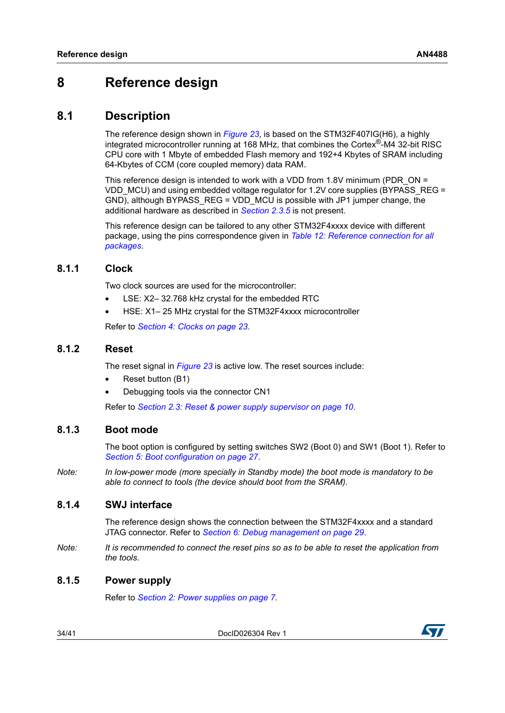# <span id="page-33-0"></span>**8 Reference design**

## <span id="page-33-1"></span>**8.1 Description**

The reference design shown in *[Figure 23](#page-35-0)*, is based on the STM32F407IG(H6), a highly integrated microcontroller running at 168 MHz, that combines the Cortex®-M4 32-bit RISC CPU core with 1 Mbyte of embedded Flash memory and 192+4 Kbytes of SRAM including 64-Kbytes of CCM (core coupled memory) data RAM.

This reference design is intended to work with a VDD from 1.8V minimum (PDR\_ON = VDD MCU) and using embedded voltage regulator for 1.2V core supplies (BYPASS REG = GND), although BYPASS\_REG = VDD\_MCU is possible with JP1 jumper change, the additional hardware as described in *[Section 2.3.5](#page-13-0)* is not present.

This reference design can be tailored to any other STM32F4xxxx device with different package, using the pins correspondence given in *[Table 12: Reference connection for all](#page-36-0)  [packages](#page-36-0)*.

#### <span id="page-33-2"></span>**8.1.1 Clock**

Two clock sources are used for the microcontroller:

- LSE: X2-32.768 kHz crystal for the embedded RTC
- HSE: X1– 25 MHz crystal for the STM32F4xxxx microcontroller

Refer to *[Section 4: Clocks on page 23](#page-22-0)*.

#### <span id="page-33-3"></span>**8.1.2 Reset**

The reset signal in *[Figure 23](#page-35-0)* is active low. The reset sources include:

- Reset button (B1)
- Debugging tools via the connector CN1

Refer to *[Section 2.3: Reset & power supply supervisor on page 10](#page-9-0)*.

#### <span id="page-33-4"></span>**8.1.3 Boot mode**

The boot option is configured by setting switches SW2 (Boot 0) and SW1 (Boot 1). Refer to *[Section 5: Boot configuration on page 27](#page-26-0)*.

*Note: In low-power mode (more specially in Standby mode) the boot mode is mandatory to be able to connect to tools (the device should boot from the SRAM).*

#### <span id="page-33-5"></span>**8.1.4 SWJ interface**

The reference design shows the connection between the STM32F4xxxx and a standard JTAG connector. Refer to *[Section 6: Debug management on page 29](#page-28-0)*.

*Note: It is recommended to connect the reset pins so as to be able to reset the application from the tools.*

#### <span id="page-33-6"></span>**8.1.5 Power supply**

Refer to *[Section 2: Power supplies on page 7](#page-6-0)*.

34/[41](#page-40-0) DocID026304 Rev 1

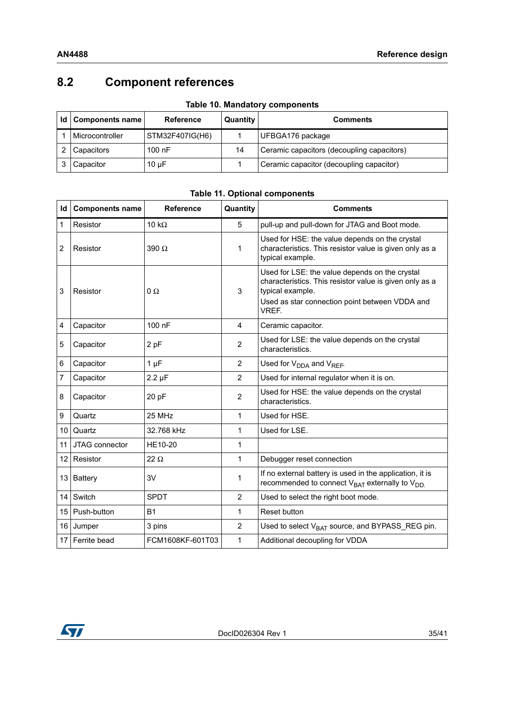# <span id="page-34-0"></span>**8.2 Component references**

<span id="page-34-1"></span>

| Id   Components name | <b>Reference</b> | Quantity | <b>Comments</b>                            |
|----------------------|------------------|----------|--------------------------------------------|
| Microcontroller      | STM32F407IG(H6)  |          | UFBGA176 package                           |
| Capacitors           | $100$ nF         | 14       | Ceramic capacitors (decoupling capacitors) |
| Capacitor            | $10 \mu F$       |          | Ceramic capacitor (decoupling capacitor)   |

|  | <b>Table 10. Mandatory components</b> |  |
|--|---------------------------------------|--|
|  |                                       |  |

<span id="page-34-2"></span>

| Id             | <b>Components name</b> | <b>Reference</b> | Quantity       | <b>Comments</b>                                                                                                                                                                          |
|----------------|------------------------|------------------|----------------|------------------------------------------------------------------------------------------------------------------------------------------------------------------------------------------|
| 1              | Resistor               | 10 $k\Omega$     | 5              | pull-up and pull-down for JTAG and Boot mode.                                                                                                                                            |
| 2              | Resistor               | 390 $\Omega$     | 1              | Used for HSE: the value depends on the crystal<br>characteristics. This resistor value is given only as a<br>typical example.                                                            |
| 3              | Resistor               | 0Ω               | 3              | Used for LSE: the value depends on the crystal<br>characteristics. This resistor value is given only as a<br>typical example.<br>Used as star connection point between VDDA and<br>VREF. |
| 4              | Capacitor              | 100 nF           | 4              | Ceramic capacitor.                                                                                                                                                                       |
| 5              | Capacitor              | 2 pF             | $\overline{2}$ | Used for LSE: the value depends on the crystal<br>characteristics.                                                                                                                       |
| 6              | Capacitor              | $1 \mu F$        | $\overline{2}$ | Used for V <sub>DDA</sub> and V <sub>REF</sub> .                                                                                                                                         |
| $\overline{7}$ | Capacitor              | $2.2 \mu F$      | 2              | Used for internal regulator when it is on.                                                                                                                                               |
| 8              | Capacitor              | 20 pF            | $\overline{2}$ | Used for HSE: the value depends on the crystal<br>characteristics.                                                                                                                       |
| 9              | Quartz                 | 25 MHz           | 1              | Used for HSE.                                                                                                                                                                            |
| 10             | Quartz                 | 32.768 kHz       | 1              | Used for LSE.                                                                                                                                                                            |
| 11             | JTAG connector         | <b>HE10-20</b>   | 1              |                                                                                                                                                                                          |
| 12             | Resistor               | $22 \Omega$      | $\mathbf{1}$   | Debugger reset connection                                                                                                                                                                |
|                | 13 Battery             | 3V               | 1              | If no external battery is used in the application, it is<br>recommended to connect $V_{BAT}$ externally to $V_{DD}$                                                                      |
| 14             | Switch                 | <b>SPDT</b>      | $\overline{2}$ | Used to select the right boot mode.                                                                                                                                                      |
| 15             | Push-button            | <b>B1</b>        | 1              | Reset button                                                                                                                                                                             |
| 16             | Jumper                 | 3 pins           | $\overline{2}$ | Used to select V <sub>BAT</sub> source, and BYPASS_REG pin.                                                                                                                              |
| 17             | Ferrite bead           | FCM1608KF-601T03 | 1              | Additional decoupling for VDDA                                                                                                                                                           |

### **Table 11. Optional components**

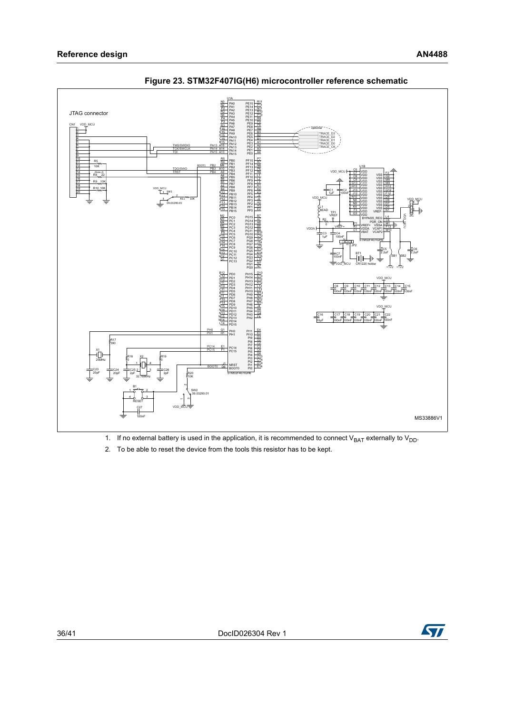

<span id="page-35-0"></span>**Figure 23. STM32F407IG(H6) microcontroller reference schematic**

1. If no external battery is used in the application, it is recommended to connect  $V_{BAT}$  externally to  $V_{DD}$ .

2. To be able to reset the device from the tools this resistor has to be kept.

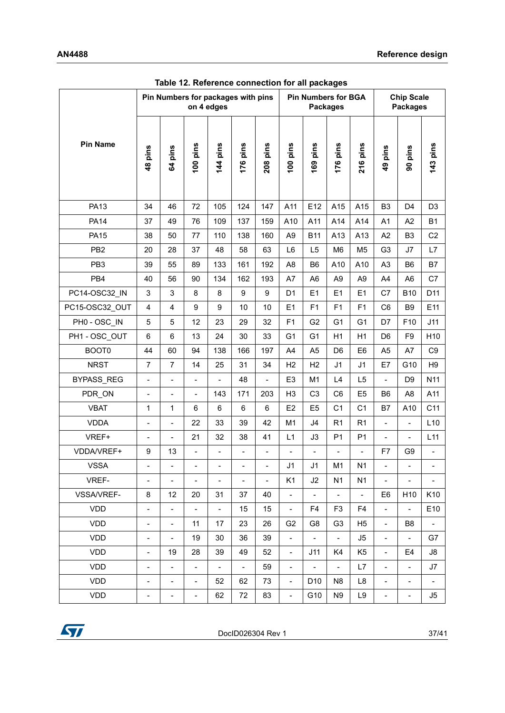<span id="page-36-0"></span>

|                   |                              | Pin Numbers for packages with pins |                              | on 4 edges               |                          |                          |                          | <b>Pin Numbers for BGA</b> | <b>Packages</b>          |                   |                              | <b>Chip Scale</b><br><b>Packages</b> |                          |
|-------------------|------------------------------|------------------------------------|------------------------------|--------------------------|--------------------------|--------------------------|--------------------------|----------------------------|--------------------------|-------------------|------------------------------|--------------------------------------|--------------------------|
| <b>Pin Name</b>   | 48 pins                      | 64 pins                            | 100 pins                     | 144 pins                 | 176 pins                 | 208 pins                 | 100 pins                 | 169 pins                   | 176 pins                 | 216 pins          | 49 pins                      | 90 pins                              | 143 pins                 |
| <b>PA13</b>       | 34                           | 46                                 | 72                           | 105                      | 124                      | 147                      | A11                      | E12                        | A15                      | A15               | B <sub>3</sub>               | D <sub>4</sub>                       | D <sub>3</sub>           |
| <b>PA14</b>       | 37                           | 49                                 | 76                           | 109                      | 137                      | 159                      | A10                      | A11                        | A14                      | A14               | A <sub>1</sub>               | A <sub>2</sub>                       | <b>B1</b>                |
| <b>PA15</b>       | 38                           | 50                                 | 77                           | 110                      | 138                      | 160                      | A <sub>9</sub>           | <b>B11</b>                 | A13                      | A13               | A2                           | B <sub>3</sub>                       | C <sub>2</sub>           |
| PB <sub>2</sub>   | 20                           | 28                                 | 37                           | 48                       | 58                       | 63                       | L <sub>6</sub>           | L <sub>5</sub>             | M <sub>6</sub>           | M5                | G <sub>3</sub>               | J7                                   | L7                       |
| PB <sub>3</sub>   | 39                           | 55                                 | 89                           | 133                      | 161                      | 192                      | A <sub>8</sub>           | B <sub>6</sub>             | A10                      | A10               | A <sub>3</sub>               | B <sub>6</sub>                       | B7                       |
| PB4               | 40                           | 56                                 | 90                           | 134                      | 162                      | 193                      | A7                       | A <sub>6</sub>             | A <sub>9</sub>           | A <sub>9</sub>    | A4                           | A <sub>6</sub>                       | C7                       |
| PC14-OSC32 IN     | $\mathsf 3$                  | 3                                  | 8                            | 8                        | 9                        | $\boldsymbol{9}$         | D <sub>1</sub>           | E1                         | E1                       | E <sub>1</sub>    | C7                           | <b>B10</b>                           | D11                      |
| PC15-OSC32 OUT    | 4                            | 4                                  | 9                            | 9                        | 10                       | 10                       | E1                       | F1                         | F1                       | F <sub>1</sub>    | C <sub>6</sub>               | B <sub>9</sub>                       | E11                      |
| PH0 - OSC IN      | 5                            | 5                                  | 12                           | 23                       | 29                       | 32                       | F <sub>1</sub>           | G <sub>2</sub>             | G <sub>1</sub>           | G <sub>1</sub>    | D7                           | F <sub>10</sub>                      | J11                      |
| PH1 - OSC OUT     | 6                            | 6                                  | 13                           | 24                       | 30                       | 33                       | G <sub>1</sub>           | G <sub>1</sub>             | H1                       | H1                | D <sub>6</sub>               | F <sub>9</sub>                       | H10                      |
| BOOT0             | 44                           | 60                                 | 94                           | 138                      | 166                      | 197                      | A <sub>4</sub>           | A <sub>5</sub>             | D <sub>6</sub>           | E <sub>6</sub>    | A <sub>5</sub>               | A7                                   | C <sub>9</sub>           |
| <b>NRST</b>       | $\overline{7}$               | $\overline{7}$                     | 14                           | 25                       | 31                       | 34                       | H2                       | H2                         | J <sub>1</sub>           | J <sub>1</sub>    | E7                           | G10                                  | H <sub>9</sub>           |
| BYPASS_REG        | $\frac{1}{2}$                | $\overline{a}$                     | $\frac{1}{2}$                | $\blacksquare$           | 48                       | $\frac{1}{2}$            | E <sub>3</sub>           | M <sub>1</sub>             | L4                       | L <sub>5</sub>    | $\frac{1}{2}$                | D <sub>9</sub>                       | N11                      |
| PDR_ON            | $\frac{1}{2}$                | $\overline{\phantom{m}}$           | $\overline{\phantom{0}}$     | 143                      | 171                      | 203                      | H <sub>3</sub>           | C <sub>3</sub>             | C <sub>6</sub>           | E <sub>5</sub>    | B <sub>6</sub>               | A <sub>8</sub>                       | A11                      |
| <b>VBAT</b>       | 1                            | $\mathbf{1}$                       | 6                            | $6\phantom{1}$           | 6                        | 6                        | E <sub>2</sub>           | E <sub>5</sub>             | C <sub>1</sub>           | C <sub>1</sub>    | B7                           | A10                                  | C11                      |
| <b>VDDA</b>       | $\overline{a}$               | $\overline{a}$                     | 22                           | 33                       | 39                       | 42                       | M1                       | J4                         | R <sub>1</sub>           | R1                | ÷.                           | $\overline{\phantom{a}}$             | L10                      |
| VREF+             | $\overline{\phantom{a}}$     | $\overline{\phantom{0}}$           | 21                           | 32                       | 38                       | 41                       | L1                       | J3                         | P <sub>1</sub>           | P <sub>1</sub>    | $\overline{a}$               | $\overline{\phantom{a}}$             | L11                      |
| VDDA/VREF+        | 9                            | 13                                 | $\qquad \qquad \blacksquare$ | $\blacksquare$           | $\overline{\phantom{a}}$ | $\blacksquare$           | $\blacksquare$           | $\overline{\phantom{a}}$   | $\overline{\phantom{0}}$ | $\overline{a}$    | F7                           | G <sub>9</sub>                       | $\frac{1}{2}$            |
| <b>VSSA</b>       |                              | -                                  | $\qquad \qquad \blacksquare$ | $\overline{\phantom{a}}$ | $\blacksquare$           | $\overline{\phantom{a}}$ | J1                       | J <sub>1</sub>             | M <sub>1</sub>           | N <sub>1</sub>    | $\blacksquare$               |                                      |                          |
| VREF-             | $\qquad \qquad -$            | -                                  |                              | $\blacksquare$           |                          | $\overline{\phantom{a}}$ | K1                       | J2                         | N <sub>1</sub>           | N <sub>1</sub>    | $\blacksquare$               |                                      |                          |
| <b>VSSA/VREF-</b> | 8                            | 12                                 | 20                           | 31                       | 37                       | 40                       | $\overline{\phantom{0}}$ | $\overline{\phantom{a}}$   | $\overline{\phantom{a}}$ | $\qquad \qquad -$ | E6                           | H <sub>10</sub>                      | K <sub>10</sub>          |
| VDD               | $\overline{a}$               | $\overline{\phantom{0}}$           | $\overline{\phantom{a}}$     | $\blacksquare$           | 15                       | 15                       | $\overline{\phantom{0}}$ | F4                         | F3                       | F4                | $\overline{\phantom{a}}$     | $\blacksquare$                       | E10                      |
| <b>VDD</b>        | $\qquad \qquad \blacksquare$ | $\overline{\phantom{0}}$           | 11                           | 17                       | 23                       | 26                       | G <sub>2</sub>           | G8                         | G <sub>3</sub>           | H <sub>5</sub>    | $\frac{1}{2}$                | B <sub>8</sub>                       | $\overline{a}$           |
| <b>VDD</b>        | $\qquad \qquad \blacksquare$ | $\blacksquare$                     | 19                           | 30                       | 36                       | 39                       | $\overline{\phantom{0}}$ | $\overline{\phantom{a}}$   | $\frac{1}{2}$            | J5                | $\blacksquare$               | $\blacksquare$                       | G7                       |
| <b>VDD</b>        | $\qquad \qquad \blacksquare$ | 19                                 | 28                           | 39                       | 49                       | 52                       | $\overline{\phantom{0}}$ | J11                        | K4                       | K5                | $\overline{\phantom{0}}$     | E4                                   | J8                       |
| VDD               | $\overline{\phantom{a}}$     | -                                  | $\qquad \qquad \blacksquare$ | $\overline{\phantom{a}}$ | $\blacksquare$           | 59                       | $\overline{\phantom{0}}$ | $\qquad \qquad -$          | $\overline{\phantom{0}}$ | L7                | $\qquad \qquad \blacksquare$ | $\overline{\phantom{0}}$             | J7                       |
| <b>VDD</b>        | $\overline{\phantom{a}}$     | $\qquad \qquad \blacksquare$       | $\overline{\phantom{a}}$     | 52                       | 62                       | 73                       | $\overline{\phantom{a}}$ | D <sub>10</sub>            | N8                       | L8                | $\overline{\phantom{a}}$     | $\overline{\phantom{a}}$             | $\overline{\phantom{a}}$ |
| <b>VDD</b>        | -                            | $\overline{\phantom{0}}$           | $\qquad \qquad \blacksquare$ | 62                       | 72                       | 83                       | $\overline{\phantom{0}}$ | G10                        | N <sub>9</sub>           | L9                | $\qquad \qquad \blacksquare$ | $\overline{\phantom{0}}$             | J5.                      |

**Table 12. Reference connection for all packages** 

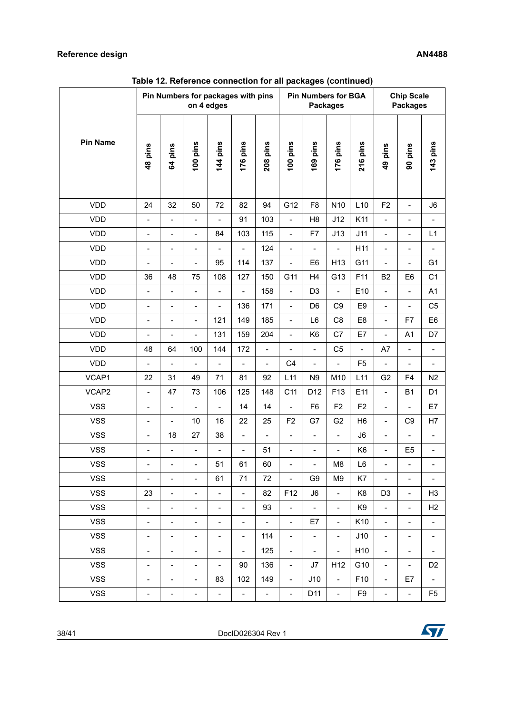|                 |                              |                          | Pin Numbers for packages with pins | on 4 edges               |                          |                          |                          |                              | <b>Pin Numbers for BGA</b><br><b>Packages</b> |                 |                          | <b>Chip Scale</b><br><b>Packages</b> |                          |
|-----------------|------------------------------|--------------------------|------------------------------------|--------------------------|--------------------------|--------------------------|--------------------------|------------------------------|-----------------------------------------------|-----------------|--------------------------|--------------------------------------|--------------------------|
| <b>Pin Name</b> | 48 pins                      | 64 pins                  | 100 pins                           | 144 pins                 | 176 pins                 | 208 pins                 | 100 pins                 | 169 pins                     | 176 pins                                      | 216 pins        | 49 pins                  | 90 pins                              | 143 pins                 |
| <b>VDD</b>      | 24                           | 32                       | 50                                 | 72                       | 82                       | 94                       | G12                      | F <sub>8</sub>               | N <sub>10</sub>                               | L10             | F <sub>2</sub>           | $\blacksquare$                       | J6                       |
| <b>VDD</b>      | $\frac{1}{2}$                | $\blacksquare$           | $\qquad \qquad \blacksquare$       | $\overline{a}$           | 91                       | 103                      | $\overline{a}$           | H <sub>8</sub>               | J12                                           | K11             | $\overline{\phantom{a}}$ | $\overline{\phantom{a}}$             | $\overline{\phantom{a}}$ |
| <b>VDD</b>      | $\overline{\phantom{a}}$     | $\overline{\phantom{a}}$ | $\qquad \qquad \blacksquare$       | 84                       | 103                      | 115                      | $\overline{\phantom{a}}$ | F7                           | J13                                           | J11             | $\overline{\phantom{a}}$ | $\overline{\phantom{0}}$             | L1                       |
| <b>VDD</b>      | $\blacksquare$               | $\overline{\phantom{0}}$ | $\overline{\phantom{a}}$           | $\overline{a}$           | $\overline{\phantom{a}}$ | 124                      | $\overline{a}$           | $\overline{a}$               | $\overline{a}$                                | H11             | $\overline{\phantom{a}}$ | $\overline{\phantom{0}}$             | $\overline{a}$           |
| <b>VDD</b>      | $\overline{a}$               | $\overline{\phantom{0}}$ | $\overline{a}$                     | 95                       | 114                      | 137                      | $\overline{a}$           | E <sub>6</sub>               | H <sub>13</sub>                               | G11             | $\blacksquare$           | $\overline{\phantom{0}}$             | G <sub>1</sub>           |
| <b>VDD</b>      | 36                           | 48                       | 75                                 | 108                      | 127                      | 150                      | G11                      | H <sub>4</sub>               | G13                                           | F11             | <b>B2</b>                | E <sub>6</sub>                       | C <sub>1</sub>           |
| <b>VDD</b>      | $\blacksquare$               | $\overline{\phantom{0}}$ | $\qquad \qquad \blacksquare$       | $\overline{a}$           | $\overline{\phantom{a}}$ | 158                      | $\overline{a}$           | D <sub>3</sub>               | $\overline{\phantom{0}}$                      | E10             | $\overline{\phantom{a}}$ | $\overline{\phantom{a}}$             | A1                       |
| <b>VDD</b>      | $\frac{1}{2}$                | $\blacksquare$           | $\qquad \qquad \blacksquare$       | $\overline{a}$           | 136                      | 171                      | $\overline{\phantom{0}}$ | D <sub>6</sub>               | C <sub>9</sub>                                | E <sub>9</sub>  | $\blacksquare$           | $\overline{\phantom{a}}$             | C <sub>5</sub>           |
| <b>VDD</b>      | $\overline{\phantom{0}}$     | $\overline{\phantom{0}}$ | $\overline{a}$                     | 121                      | 149                      | 185                      | $\blacksquare$           | L6                           | C <sub>8</sub>                                | E <sub>8</sub>  | $\blacksquare$           | F7                                   | E <sub>6</sub>           |
| <b>VDD</b>      | $\blacksquare$               | $\overline{\phantom{0}}$ | $\overline{a}$                     | 131                      | 159                      | 204                      | $\overline{\phantom{0}}$ | K <sub>6</sub>               | C7                                            | E7              | $\overline{\phantom{a}}$ | A1                                   | D7                       |
| <b>VDD</b>      | 48                           | 64                       | 100                                | 144                      | 172                      | $\overline{a}$           | $\overline{a}$           | $\overline{a}$               | C <sub>5</sub>                                | $\overline{a}$  | A7                       | $\overline{\phantom{a}}$             | $\overline{a}$           |
| <b>VDD</b>      | $\frac{1}{2}$                | $\frac{1}{2}$            | $\frac{1}{2}$                      | $\frac{1}{2}$            | $\overline{\phantom{a}}$ | $\overline{\phantom{a}}$ | C <sub>4</sub>           | $\overline{\phantom{0}}$     | $\overline{\phantom{0}}$                      | F <sub>5</sub>  | $\blacksquare$           | $\overline{\phantom{a}}$             | $\overline{\phantom{0}}$ |
| VCAP1           | 22                           | 31                       | 49                                 | 71                       | 81                       | 92                       | L11                      | N <sub>9</sub>               | M10                                           | L11             | G <sub>2</sub>           | F4                                   | N2                       |
| VCAP2           | $\overline{a}$               | 47                       | 73                                 | 106                      | 125                      | 148                      | C <sub>11</sub>          | D <sub>12</sub>              | F13                                           | E11             | $\blacksquare$           | <b>B1</b>                            | D <sub>1</sub>           |
| <b>VSS</b>      | $\overline{\phantom{0}}$     | $\overline{\phantom{0}}$ | $\overline{\phantom{m}}$           | $\overline{a}$           | 14                       | 14                       | $\blacksquare$           | F <sub>6</sub>               | F <sub>2</sub>                                | F <sub>2</sub>  | $\overline{\phantom{a}}$ | $\overline{\phantom{a}}$             | E7                       |
| <b>VSS</b>      | $\frac{1}{2}$                | $\overline{\phantom{0}}$ | 10                                 | 16                       | 22                       | 25                       | F <sub>2</sub>           | G7                           | G <sub>2</sub>                                | H <sub>6</sub>  | $\overline{\phantom{a}}$ | C <sub>9</sub>                       | H7                       |
| <b>VSS</b>      | $\frac{1}{2}$                | 18                       | 27                                 | 38                       | $\overline{\phantom{a}}$ | $\overline{a}$           | $\overline{a}$           | $\overline{\phantom{a}}$     | $\overline{\phantom{0}}$                      | J6              | $\overline{\phantom{a}}$ | $\overline{\phantom{a}}$             | $\overline{a}$           |
| <b>VSS</b>      | $\overline{\phantom{0}}$     | $\overline{\phantom{0}}$ | $\frac{1}{2}$                      | $\overline{\phantom{0}}$ | $\frac{1}{2}$            | 51                       | $\frac{1}{2}$            | $\overline{\phantom{0}}$     | $\overline{\phantom{0}}$                      | K <sub>6</sub>  | $\blacksquare$           | E <sub>5</sub>                       | $\overline{\phantom{0}}$ |
| <b>VSS</b>      | $\qquad \qquad \blacksquare$ | $\blacksquare$           | $\qquad \qquad \blacksquare$       | 51                       | 61                       | 60                       | -                        | $\qquad \qquad \blacksquare$ | M <sub>8</sub>                                | L6              | $\overline{\phantom{a}}$ | -                                    | -                        |
| <b>VSS</b>      | $\blacksquare$               | $\overline{\phantom{m}}$ | $\overline{\phantom{a}}$           | 61                       | 71                       | 72                       | $\overline{\phantom{a}}$ | G9                           | M9                                            | K7              | $\overline{\phantom{a}}$ | $\overline{\phantom{a}}$             | $\overline{\phantom{a}}$ |
| <b>VSS</b>      | 23                           | $\overline{\phantom{0}}$ | $\overline{\phantom{a}}$           | $\overline{\phantom{a}}$ | $\blacksquare$           | 82                       | F12                      | J6                           | $\blacksquare$                                | K <sub>8</sub>  | D <sub>3</sub>           | $\overline{\phantom{a}}$             | H <sub>3</sub>           |
| <b>VSS</b>      | ÷,                           | Ξ.                       | $\qquad \qquad \blacksquare$       | $\qquad \qquad -$        | $\overline{\phantom{a}}$ | 93                       | $\overline{\phantom{a}}$ | $\blacksquare$               | $\overline{\phantom{0}}$                      | K <sub>9</sub>  | $\blacksquare$           | $\overline{\phantom{a}}$             | H <sub>2</sub>           |
| <b>VSS</b>      | ÷,                           | $\overline{\phantom{0}}$ | $\qquad \qquad -$                  | $\frac{1}{2}$            | $\blacksquare$           | $\overline{\phantom{a}}$ | $\blacksquare$           | E7                           | $\mathbb{L}^{\mathbb{N}}$                     | K10             | $\blacksquare$           | $\blacksquare$                       | $\Box$                   |
| <b>VSS</b>      | $\blacksquare$               | $\overline{\phantom{0}}$ | $\overline{\phantom{a}}$           | $\overline{\phantom{0}}$ | $\blacksquare$           | 114                      | $\overline{\phantom{a}}$ | $\overline{\phantom{a}}$     | $\overline{\phantom{a}}$                      | J10             | $\overline{\phantom{a}}$ | $\overline{\phantom{a}}$             | $\blacksquare$           |
| <b>VSS</b>      | $\qquad \qquad -$            | $\overline{\phantom{a}}$ | $\overline{\phantom{a}}$           | $\overline{\phantom{a}}$ | $\blacksquare$           | 125                      | $\overline{\phantom{a}}$ | $\blacksquare$               | $\blacksquare$                                | H10             | $\blacksquare$           | $\blacksquare$                       | $\overline{\phantom{a}}$ |
| <b>VSS</b>      | $\qquad \qquad -$            | $\blacksquare$           | $\qquad \qquad \blacksquare$       | $\qquad \qquad -$        | 90                       | 136                      | $\overline{\phantom{a}}$ | J7                           | H <sub>12</sub>                               | G10             | $\blacksquare$           | $\blacksquare$                       | D <sub>2</sub>           |
| <b>VSS</b>      | $\overline{\phantom{a}}$     | $\overline{\phantom{a}}$ | $\blacksquare$                     | 83                       | 102                      | 149                      | $\overline{\phantom{a}}$ | J10                          | $\blacksquare$                                | F <sub>10</sub> | $\blacksquare$           | E7                                   | $\overline{\phantom{a}}$ |
| <b>VSS</b>      | -                            | $\blacksquare$           | $\overline{\phantom{0}}$           | $\overline{\phantom{0}}$ | $\blacksquare$           | $\overline{\phantom{a}}$ | $\overline{\phantom{0}}$ | D11                          | $\blacksquare$                                | F9              | $\overline{\phantom{0}}$ | $\blacksquare$                       | F <sub>5</sub>           |

**Table 12. Reference connection for all packages (continued)**

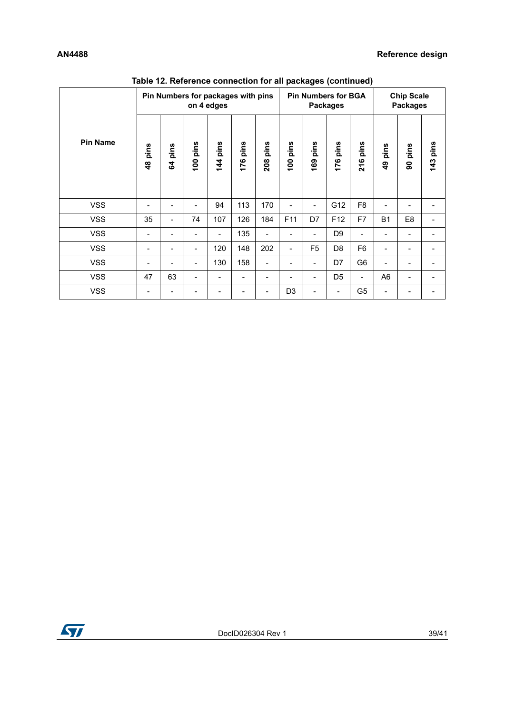|                 |                       |            |            | Pin Numbers for packages with pins<br>on 4 edges |                          |             |                |                | <b>Pin Numbers for BGA</b><br><b>Packages</b> |                |                        | <b>Chip Scale</b><br><b>Packages</b> |               |
|-----------------|-----------------------|------------|------------|--------------------------------------------------|--------------------------|-------------|----------------|----------------|-----------------------------------------------|----------------|------------------------|--------------------------------------|---------------|
| <b>Pin Name</b> | pins<br>$\frac{8}{4}$ | pins<br>54 | pins<br>00 | pins<br>$\frac{14}{1}$                           | pins<br>176              | pins<br>208 | pins<br>100    | pins<br>169    | pins<br>176                                   | pins<br>216    | pins<br>$\overline{9}$ | pins<br>8                            | pins<br>$143$ |
| <b>VSS</b>      |                       |            | -          | 94                                               | 113                      | 170         |                | -              | G12                                           | F <sub>8</sub> |                        |                                      |               |
| <b>VSS</b>      | 35                    | -          | 74         | 107                                              | 126                      | 184         | F11            | D7             | F <sub>12</sub>                               | F7             | <b>B1</b>              | E <sub>8</sub>                       |               |
| <b>VSS</b>      |                       |            | -          |                                                  | 135                      | ۳           |                | ۳              | D <sub>9</sub>                                |                |                        |                                      |               |
| <b>VSS</b>      |                       |            | -          | 120                                              | 148                      | 202         | -              | F <sub>5</sub> | D <sub>8</sub>                                | F <sub>6</sub> |                        |                                      |               |
| <b>VSS</b>      |                       |            | -          | 130                                              | 158                      |             |                | -              | D7                                            | G <sub>6</sub> |                        |                                      |               |
| <b>VSS</b>      | 47                    | 63         | -          |                                                  | $\overline{\phantom{a}}$ |             |                | -              | D <sub>5</sub>                                | $\blacksquare$ | A <sub>6</sub>         |                                      |               |
| <b>VSS</b>      |                       |            |            |                                                  |                          |             | D <sub>3</sub> |                | -                                             | G <sub>5</sub> |                        |                                      |               |

**Table 12. Reference connection for all packages (continued)**

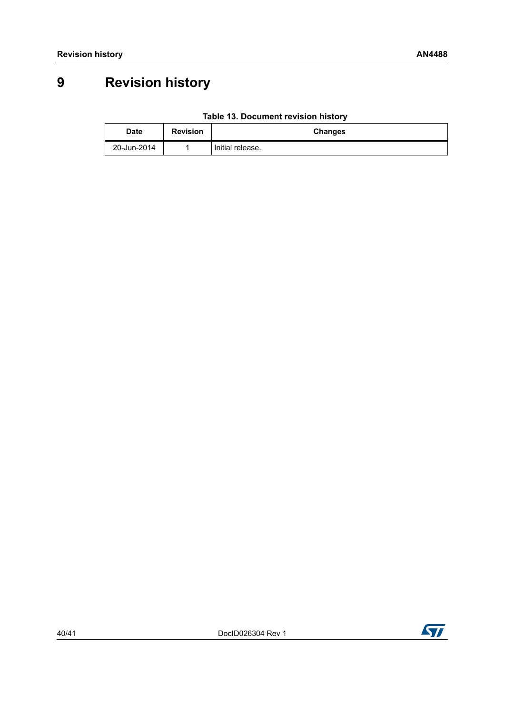# <span id="page-39-0"></span>**9 Revision history**

| Table 13. Document revision history |
|-------------------------------------|
|-------------------------------------|

<span id="page-39-1"></span>

| <b>Date</b> | <b>Revision</b> | <b>Changes</b>   |
|-------------|-----------------|------------------|
| 20-Jun-2014 |                 | Initial release. |